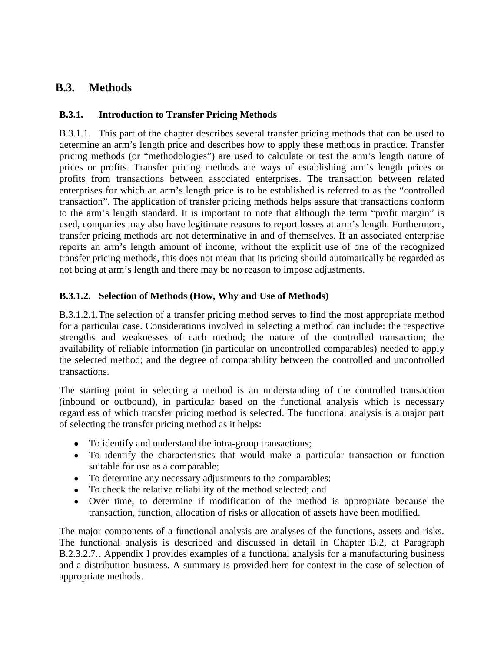# **B.3. Methods**

### **B.3.1. Introduction to Transfer Pricing Methods**

B.3.1.1. This part of the chapter describes several transfer pricing methods that can be used to determine an arm's length price and describes how to apply these methods in practice. Transfer pricing methods (or "methodologies") are used to calculate or test the arm's length nature of prices or profits. Transfer pricing methods are ways of establishing arm's length prices or profits from transactions between associated enterprises. The transaction between related enterprises for which an arm's length price is to be established is referred to as the "controlled transaction". The application of transfer pricing methods helps assure that transactions conform to the arm's length standard. It is important to note that although the term "profit margin" is used, companies may also have legitimate reasons to report losses at arm's length. Furthermore, transfer pricing methods are not determinative in and of themselves. If an associated enterprise reports an arm's length amount of income, without the explicit use of one of the recognized transfer pricing methods, this does not mean that its pricing should automatically be regarded as not being at arm's length and there may be no reason to impose adjustments.

### **B.3.1.2. Selection of Methods (How, Why and Use of Methods)**

B.3.1.2.1.The selection of a transfer pricing method serves to find the most appropriate method for a particular case. Considerations involved in selecting a method can include: the respective strengths and weaknesses of each method; the nature of the controlled transaction; the availability of reliable information (in particular on uncontrolled comparables) needed to apply the selected method; and the degree of comparability between the controlled and uncontrolled transactions.

The starting point in selecting a method is an understanding of the controlled transaction (inbound or outbound), in particular based on the functional analysis which is necessary regardless of which transfer pricing method is selected. The functional analysis is a major part of selecting the transfer pricing method as it helps:

- To identify and understand the intra-group transactions;
- To identify the characteristics that would make a particular transaction or function suitable for use as a comparable;
- To determine any necessary adjustments to the comparables;
- To check the relative reliability of the method selected; and
- Over time, to determine if modification of the method is appropriate because the transaction, function, allocation of risks or allocation of assets have been modified.

The major components of a functional analysis are analyses of the functions, assets and risks. The functional analysis is described and discussed in detail in Chapter B.2, at Paragraph B.2.3.2.7.. Appendix I provides examples of a functional analysis for a manufacturing business and a distribution business. A summary is provided here for context in the case of selection of appropriate methods.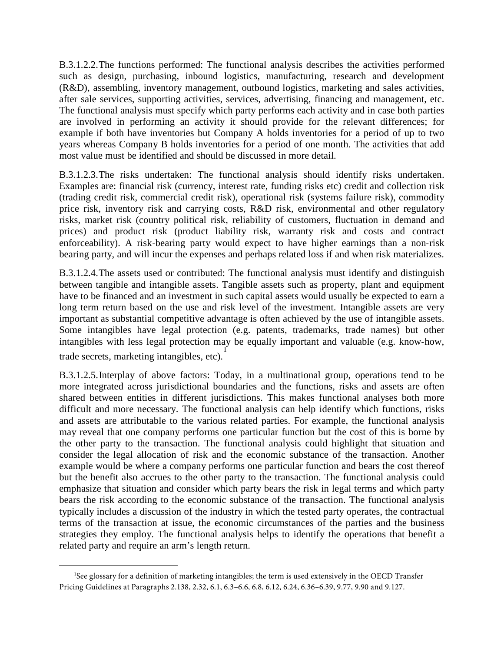B.3.1.2.2.The functions performed: The functional analysis describes the activities performed such as design, purchasing, inbound logistics, manufacturing, research and development (R&D), assembling, inventory management, outbound logistics, marketing and sales activities, after sale services, supporting activities, services, advertising, financing and management, etc. The functional analysis must specify which party performs each activity and in case both parties are involved in performing an activity it should provide for the relevant differences; for example if both have inventories but Company A holds inventories for a period of up to two years whereas Company B holds inventories for a period of one month. The activities that add most value must be identified and should be discussed in more detail.

B.3.1.2.3.The risks undertaken: The functional analysis should identify risks undertaken. Examples are: financial risk (currency, interest rate, funding risks etc) credit and collection risk (trading credit risk, commercial credit risk), operational risk (systems failure risk), commodity price risk, inventory risk and carrying costs, R&D risk, environmental and other regulatory risks, market risk (country political risk, reliability of customers, fluctuation in demand and prices) and product risk (product liability risk, warranty risk and costs and contract enforceability). A risk-bearing party would expect to have higher earnings than a non-risk bearing party, and will incur the expenses and perhaps related loss if and when risk materializes.

B.3.1.2.4.The assets used or contributed: The functional analysis must identify and distinguish between tangible and intangible assets. Tangible assets such as property, plant and equipment have to be financed and an investment in such capital assets would usually be expected to earn a long term return based on the use and risk level of the investment. Intangible assets are very important as substantial competitive advantage is often achieved by the use of intangible assets. Some intangibles have legal protection (e.g. patents, trademarks, trade names) but other intangibles with less legal protection may be equally important and valuable (e.g. know‐how, trade secrets, marketing intangibles, etc). [1](#page-1-0)

B.3.1.2.5.Interplay of above factors: Today, in a multinational group, operations tend to be more integrated across jurisdictional boundaries and the functions, risks and assets are often shared between entities in different jurisdictions. This makes functional analyses both more difficult and more necessary. The functional analysis can help identify which functions, risks and assets are attributable to the various related parties. For example, the functional analysis may reveal that one company performs one particular function but the cost of this is borne by the other party to the transaction. The functional analysis could highlight that situation and consider the legal allocation of risk and the economic substance of the transaction. Another example would be where a company performs one particular function and bears the cost thereof but the benefit also accrues to the other party to the transaction. The functional analysis could emphasize that situation and consider which party bears the risk in legal terms and which party bears the risk according to the economic substance of the transaction. The functional analysis typically includes a discussion of the industry in which the tested party operates, the contractual terms of the transaction at issue, the economic circumstances of the parties and the business strategies they employ. The functional analysis helps to identify the operations that benefit a related party and require an arm's length return.

 $\overline{a}$ 

<span id="page-1-0"></span><sup>1</sup> See glossary for a definition of marketing intangibles; the term is used extensively in the OECD Transfer Pricing Guidelines at Paragraphs 2.138, 2.32, 6.1, 6.3–6.6, 6.8, 6.12, 6.24, 6.36–6.39, 9.77, 9.90 and 9.127.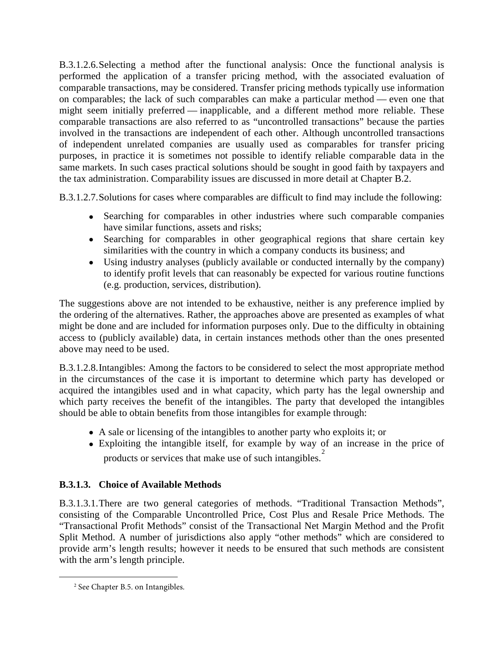B.3.1.2.6.Selecting a method after the functional analysis: Once the functional analysis is performed the application of a transfer pricing method, with the associated evaluation of comparable transactions, may be considered. Transfer pricing methods typically use information on comparables; the lack of such comparables can make a particular method — even one that might seem initially preferred — inapplicable, and a different method more reliable. These comparable transactions are also referred to as "uncontrolled transactions" because the parties involved in the transactions are independent of each other. Although uncontrolled transactions of independent unrelated companies are usually used as comparables for transfer pricing purposes, in practice it is sometimes not possible to identify reliable comparable data in the same markets. In such cases practical solutions should be sought in good faith by taxpayers and the tax administration. Comparability issues are discussed in more detail at Chapter B.2.

B.3.1.2.7.Solutions for cases where comparables are difficult to find may include the following:

- Searching for comparables in other industries where such comparable companies have similar functions, assets and risks;
- Searching for comparables in other geographical regions that share certain key similarities with the country in which a company conducts its business; and
- Using industry analyses (publicly available or conducted internally by the company) to identify profit levels that can reasonably be expected for various routine functions (e.g. production, services, distribution).

The suggestions above are not intended to be exhaustive, neither is any preference implied by the ordering of the alternatives. Rather, the approaches above are presented as examples of what might be done and are included for information purposes only. Due to the difficulty in obtaining access to (publicly available) data, in certain instances methods other than the ones presented above may need to be used.

B.3.1.2.8.Intangibles: Among the factors to be considered to select the most appropriate method in the circumstances of the case it is important to determine which party has developed or acquired the intangibles used and in what capacity, which party has the legal ownership and which party receives the benefit of the intangibles. The party that developed the intangibles should be able to obtain benefits from those intangibles for example through:

- A sale or licensing of the intangibles to another party who exploits it; or
- Exploiting the intangible itself, for example by way of an increase in the price of products or services that make use of such intangibles.<sup>[2](#page-2-0)</sup>

## **B.3.1.3. Choice of Available Methods**

B.3.1.3.1.There are two general categories of methods. "Traditional Transaction Methods", consisting of the Comparable Uncontrolled Price, Cost Plus and Resale Price Methods. The "Transactional Profit Methods" consist of the Transactional Net Margin Method and the Profit Split Method. A number of jurisdictions also apply "other methods" which are considered to provide arm's length results; however it needs to be ensured that such methods are consistent with the arm's length principle.

<span id="page-2-0"></span> $\overline{a}$ 

<sup>2</sup> See Chapter B.5. on Intangibles.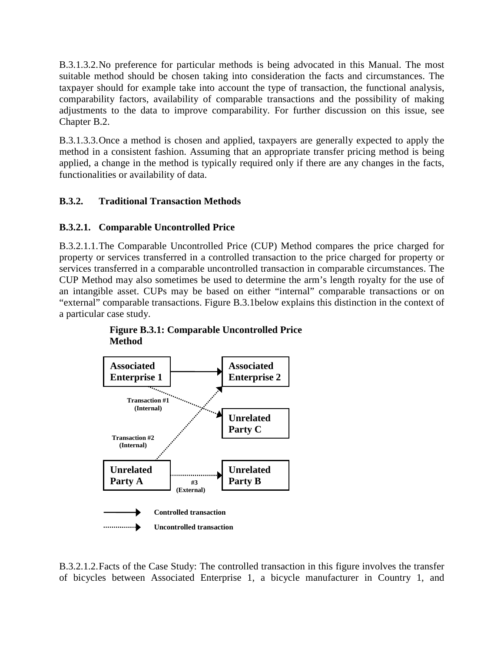B.3.1.3.2.No preference for particular methods is being advocated in this Manual. The most suitable method should be chosen taking into consideration the facts and circumstances. The taxpayer should for example take into account the type of transaction, the functional analysis, comparability factors, availability of comparable transactions and the possibility of making adjustments to the data to improve comparability. For further discussion on this issue, see Chapter B.2.

B.3.1.3.3.Once a method is chosen and applied, taxpayers are generally expected to apply the method in a consistent fashion. Assuming that an appropriate transfer pricing method is being applied, a change in the method is typically required only if there are any changes in the facts, functionalities or availability of data.

### **B.3.2. Traditional Transaction Methods**

### **B.3.2.1. Comparable Uncontrolled Price**

B.3.2.1.1.The Comparable Uncontrolled Price (CUP) Method compares the price charged for property or services transferred in a controlled transaction to the price charged for property or services transferred in a comparable uncontrolled transaction in comparable circumstances. The CUP Method may also sometimes be used to determine the arm's length royalty for the use of an intangible asset. CUPs may be based on either "internal" comparable transactions or on "external" comparable transactions. Figure B.3.1below explains this distinction in the context of a particular case study.



**Figure B.3.1: Comparable Uncontrolled Price Method**

B.3.2.1.2.Facts of the Case Study: The controlled transaction in this figure involves the transfer of bicycles between Associated Enterprise 1, a bicycle manufacturer in Country 1, and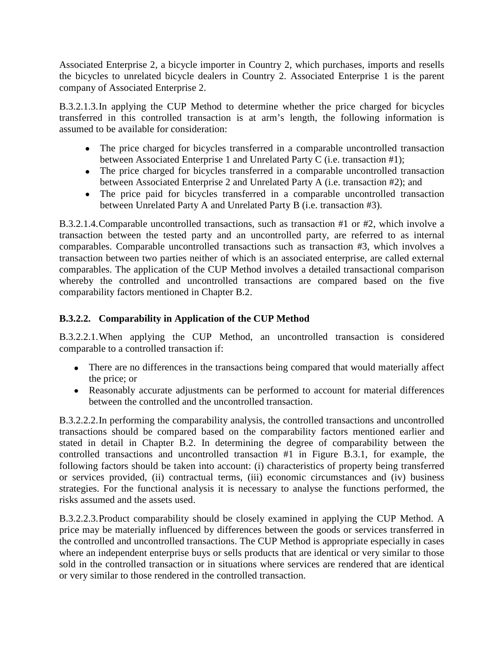Associated Enterprise 2, a bicycle importer in Country 2, which purchases, imports and resells the bicycles to unrelated bicycle dealers in Country 2. Associated Enterprise 1 is the parent company of Associated Enterprise 2.

B.3.2.1.3.In applying the CUP Method to determine whether the price charged for bicycles transferred in this controlled transaction is at arm's length, the following information is assumed to be available for consideration:

- The price charged for bicycles transferred in a comparable uncontrolled transaction between Associated Enterprise 1 and Unrelated Party C (i.e. transaction #1);
- The price charged for bicycles transferred in a comparable uncontrolled transaction between Associated Enterprise 2 and Unrelated Party A (i.e. transaction #2); and
- The price paid for bicycles transferred in a comparable uncontrolled transaction between Unrelated Party A and Unrelated Party B (i.e. transaction #3).

B.3.2.1.4.Comparable uncontrolled transactions, such as transaction #1 or #2, which involve a transaction between the tested party and an uncontrolled party, are referred to as internal comparables. Comparable uncontrolled transactions such as transaction #3, which involves a transaction between two parties neither of which is an associated enterprise, are called external comparables. The application of the CUP Method involves a detailed transactional comparison whereby the controlled and uncontrolled transactions are compared based on the five comparability factors mentioned in Chapter B.2.

## **B.3.2.2. Comparability in Application of the CUP Method**

B.3.2.2.1.When applying the CUP Method, an uncontrolled transaction is considered comparable to a controlled transaction if:

- There are no differences in the transactions being compared that would materially affect the price; or
- Reasonably accurate adjustments can be performed to account for material differences between the controlled and the uncontrolled transaction.

B.3.2.2.2.In performing the comparability analysis, the controlled transactions and uncontrolled transactions should be compared based on the comparability factors mentioned earlier and stated in detail in Chapter B.2. In determining the degree of comparability between the controlled transactions and uncontrolled transaction #1 in Figure B.3.1, for example, the following factors should be taken into account: (i) characteristics of property being transferred or services provided, (ii) contractual terms, (iii) economic circumstances and (iv) business strategies. For the functional analysis it is necessary to analyse the functions performed, the risks assumed and the assets used.

B.3.2.2.3.Product comparability should be closely examined in applying the CUP Method. A price may be materially influenced by differences between the goods or services transferred in the controlled and uncontrolled transactions. The CUP Method is appropriate especially in cases where an independent enterprise buys or sells products that are identical or very similar to those sold in the controlled transaction or in situations where services are rendered that are identical or very similar to those rendered in the controlled transaction.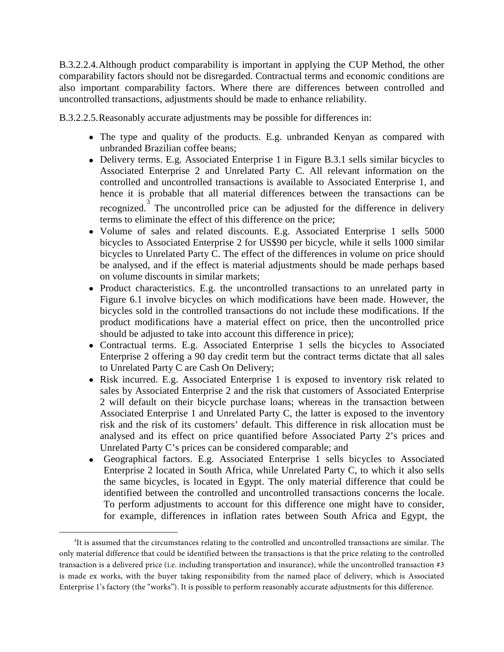B.3.2.2.4.Although product comparability is important in applying the CUP Method, the other comparability factors should not be disregarded. Contractual terms and economic conditions are also important comparability factors. Where there are differences between controlled and uncontrolled transactions, adjustments should be made to enhance reliability.

B.3.2.2.5.Reasonably accurate adjustments may be possible for differences in:

- The type and quality of the products. E.g. unbranded Kenyan as compared with unbranded Brazilian coffee beans;
- Delivery terms. E.g. Associated Enterprise 1 in Figure B.3.1 sells similar bicycles to Associated Enterprise 2 and Unrelated Party C. All relevant information on the controlled and uncontrolled transactions is available to Associated Enterprise 1, and hence it is probable that all material differences between the transactions can be recognized. The uncontrolled price can be adjusted for the difference in delivery terms to eliminate the effect of this difference on the price;
- Volume of sales and related discounts. E.g. Associated Enterprise 1 sells 5000 bicycles to Associated Enterprise 2 for US\$90 per bicycle, while it sells 1000 similar bicycles to Unrelated Party C. The effect of the differences in volume on price should be analysed, and if the effect is material adjustments should be made perhaps based on volume discounts in similar markets;
- Product characteristics. E.g. the uncontrolled transactions to an unrelated party in Figure 6.1 involve bicycles on which modifications have been made. However, the bicycles sold in the controlled transactions do not include these modifications. If the product modifications have a material effect on price, then the uncontrolled price should be adjusted to take into account this difference in price);
- Contractual terms. E.g. Associated Enterprise 1 sells the bicycles to Associated Enterprise 2 offering a 90 day credit term but the contract terms dictate that all sales to Unrelated Party C are Cash On Delivery;
- Risk incurred. E.g. Associated Enterprise 1 is exposed to inventory risk related to sales by Associated Enterprise 2 and the risk that customers of Associated Enterprise 2 will default on their bicycle purchase loans; whereas in the transaction between Associated Enterprise 1 and Unrelated Party C, the latter is exposed to the inventory risk and the risk of its customers' default. This difference in risk allocation must be analysed and its effect on price quantified before Associated Party 2's prices and Unrelated Party C's prices can be considered comparable; and
- Geographical factors. E.g. Associated Enterprise 1 sells bicycles to Associated Enterprise 2 located in South Africa, while Unrelated Party C, to which it also sells the same bicycles, is located in Egypt. The only material difference that could be identified between the controlled and uncontrolled transactions concerns the locale. To perform adjustments to account for this difference one might have to consider, for example, differences in inflation rates between South Africa and Egypt, the

 $\overline{a}$ 

<span id="page-5-0"></span><sup>3</sup> It is assumed that the circumstances relating to the controlled and uncontrolled transactions are similar. The only material difference that could be identified between the transactions is that the price relating to the controlled transaction is a delivered price (i.e. including transportation and insurance), while the uncontrolled transaction #3 is made ex works, with the buyer taking responsibility from the named place of delivery, which is Associated Enterprise 1's factory (the "works"). It is possible to perform reasonably accurate adjustments for this difference.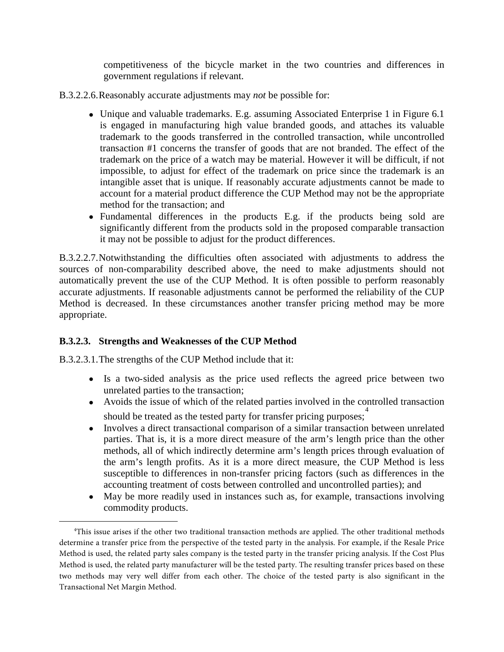competitiveness of the bicycle market in the two countries and differences in government regulations if relevant.

- B.3.2.2.6.Reasonably accurate adjustments may *not* be possible for:
	- Unique and valuable trademarks. E.g. assuming Associated Enterprise 1 in Figure 6.1 is engaged in manufacturing high value branded goods, and attaches its valuable trademark to the goods transferred in the controlled transaction, while uncontrolled transaction #1 concerns the transfer of goods that are not branded. The effect of the trademark on the price of a watch may be material. However it will be difficult, if not impossible, to adjust for effect of the trademark on price since the trademark is an intangible asset that is unique. If reasonably accurate adjustments cannot be made to account for a material product difference the CUP Method may not be the appropriate method for the transaction; and
	- Fundamental differences in the products E.g. if the products being sold are significantly different from the products sold in the proposed comparable transaction it may not be possible to adjust for the product differences.

B.3.2.2.7.Notwithstanding the difficulties often associated with adjustments to address the sources of non-comparability described above, the need to make adjustments should not automatically prevent the use of the CUP Method. It is often possible to perform reasonably accurate adjustments. If reasonable adjustments cannot be performed the reliability of the CUP Method is decreased. In these circumstances another transfer pricing method may be more appropriate.

## **B.3.2.3. Strengths and Weaknesses of the CUP Method**

B.3.2.3.1.The strengths of the CUP Method include that it:

 $\overline{a}$ 

- Is a two-sided analysis as the price used reflects the agreed price between two unrelated parties to the transaction;
- Avoids the issue of which of the related parties involved in the controlled transaction should be treated as the tested party for transfer pricing purposes;
- Involves a direct transactional comparison of a similar transaction between unrelated parties. That is, it is a more direct measure of the arm's length price than the other methods, all of which indirectly determine arm's length prices through evaluation of the arm's length profits. As it is a more direct measure, the CUP Method is less susceptible to differences in non-transfer pricing factors (such as differences in the accounting treatment of costs between controlled and uncontrolled parties); and
- May be more readily used in instances such as, for example, transactions involving commodity products.

<span id="page-6-0"></span><sup>4</sup> This issue arises if the other two traditional transaction methods are applied. The other traditional methods determine a transfer price from the perspective of the tested party in the analysis. For example, if the Resale Price Method is used, the related party sales company is the tested party in the transfer pricing analysis. If the Cost Plus Method is used, the related party manufacturer will be the tested party. The resulting transfer prices based on these two methods may very well differ from each other. The choice of the tested party is also significant in the Transactional Net Margin Method.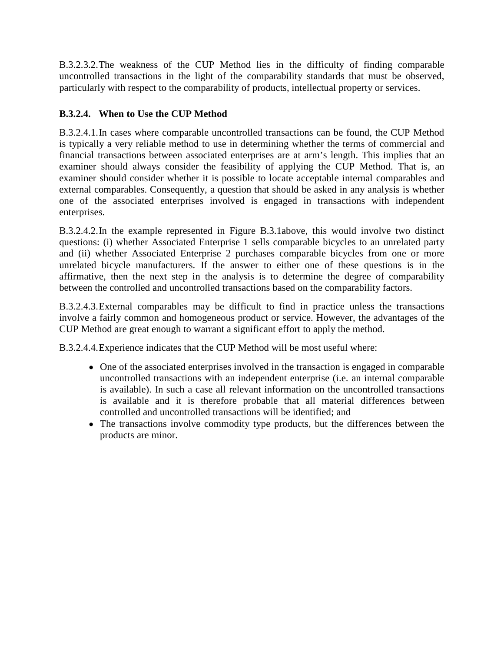B.3.2.3.2.The weakness of the CUP Method lies in the difficulty of finding comparable uncontrolled transactions in the light of the comparability standards that must be observed, particularly with respect to the comparability of products, intellectual property or services.

## **B.3.2.4. When to Use the CUP Method**

B.3.2.4.1.In cases where comparable uncontrolled transactions can be found, the CUP Method is typically a very reliable method to use in determining whether the terms of commercial and financial transactions between associated enterprises are at arm's length. This implies that an examiner should always consider the feasibility of applying the CUP Method. That is, an examiner should consider whether it is possible to locate acceptable internal comparables and external comparables. Consequently, a question that should be asked in any analysis is whether one of the associated enterprises involved is engaged in transactions with independent enterprises.

B.3.2.4.2.In the example represented in Figure B.3.1above, this would involve two distinct questions: (i) whether Associated Enterprise 1 sells comparable bicycles to an unrelated party and (ii) whether Associated Enterprise 2 purchases comparable bicycles from one or more unrelated bicycle manufacturers. If the answer to either one of these questions is in the affirmative, then the next step in the analysis is to determine the degree of comparability between the controlled and uncontrolled transactions based on the comparability factors.

B.3.2.4.3.External comparables may be difficult to find in practice unless the transactions involve a fairly common and homogeneous product or service. However, the advantages of the CUP Method are great enough to warrant a significant effort to apply the method.

B.3.2.4.4.Experience indicates that the CUP Method will be most useful where:

- One of the associated enterprises involved in the transaction is engaged in comparable uncontrolled transactions with an independent enterprise (i.e. an internal comparable is available). In such a case all relevant information on the uncontrolled transactions is available and it is therefore probable that all material differences between controlled and uncontrolled transactions will be identified; and
- The transactions involve commodity type products, but the differences between the products are minor.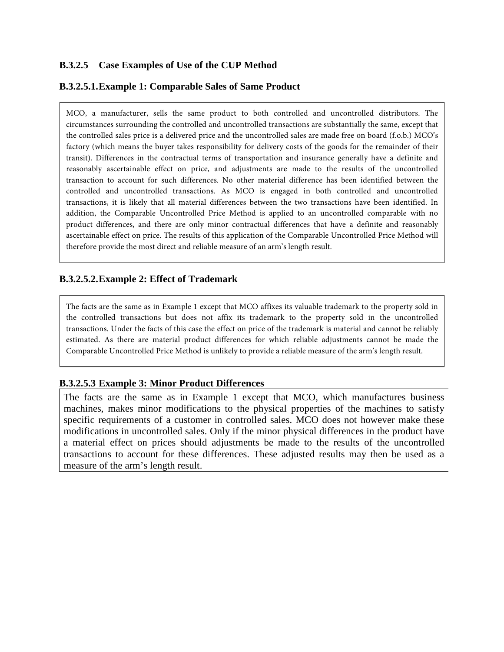## **B.3.2.5 Case Examples of Use of the CUP Method**

#### **B.3.2.5.1.Example 1: Comparable Sales of Same Product**

MCO, a manufacturer, sells the same product to both controlled and uncontrolled distributors. The circumstances surrounding the controlled and uncontrolled transactions are substantially the same, except that the controlled sales price is a delivered price and the uncontrolled sales are made free on board (f.o.b.) MCO's factory (which means the buyer takes responsibility for delivery costs of the goods for the remainder of their transit). Differences in the contractual terms of transportation and insurance generally have a definite and reasonably ascertainable effect on price, and adjustments are made to the results of the uncontrolled transaction to account for such differences. No other material difference has been identified between the controlled and uncontrolled transactions. As MCO is engaged in both controlled and uncontrolled transactions, it is likely that all material differences between the two transactions have been identified. In addition, the Comparable Uncontrolled Price Method is applied to an uncontrolled comparable with no product differences, and there are only minor contractual differences that have a definite and reasonably ascertainable effect on price. The results of this application of the Comparable Uncontrolled Price Method will therefore provide the most direct and reliable measure of an arm's length result.

#### **B.3.2.5.2.Example 2: Effect of Trademark**

The facts are the same as in Example 1 except that MCO affixes its valuable trademark to the property sold in the controlled transactions but does not affix its trademark to the property sold in the uncontrolled transactions. Under the facts of this case the effect on price of the trademark is material and cannot be reliably estimated. As there are material product differences for which reliable adjustments cannot be made the Comparable Uncontrolled Price Method is unlikely to provide a reliable measure of the arm's length result.

#### **B.3.2.5.3 Example 3: Minor Product Differences**

The facts are the same as in Example 1 except that MCO, which manufactures business machines, makes minor modifications to the physical properties of the machines to satisfy specific requirements of a customer in controlled sales. MCO does not however make these modifications in uncontrolled sales. Only if the minor physical differences in the product have a material effect on prices should adjustments be made to the results of the uncontrolled transactions to account for these differences. These adjusted results may then be used as a measure of the arm's length result.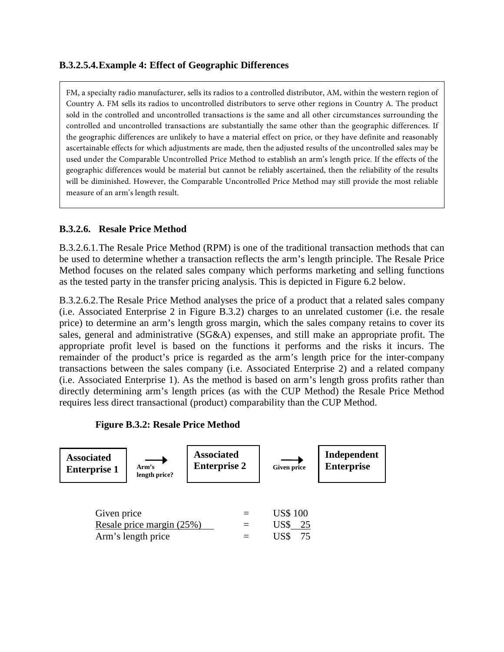#### **B.3.2.5.4.Example 4: Effect of Geographic Differences**

FM, a specialty radio manufacturer, sells its radios to a controlled distributor, AM, within the western region of Country A. FM sells its radios to uncontrolled distributors to serve other regions in Country A. The product sold in the controlled and uncontrolled transactions is the same and all other circumstances surrounding the controlled and uncontrolled transactions are substantially the same other than the geographic differences. If the geographic differences are unlikely to have a material effect on price, or they have definite and reasonably ascertainable effects for which adjustments are made, then the adjusted results of the uncontrolled sales may be used under the Comparable Uncontrolled Price Method to establish an arm's length price. If the effects of the geographic differences would be material but cannot be reliably ascertained, then the reliability of the results will be diminished. However, the Comparable Uncontrolled Price Method may still provide the most reliable measure of an arm's length result.

#### **B.3.2.6. Resale Price Method**

B.3.2.6.1.The Resale Price Method (RPM) is one of the traditional transaction methods that can be used to determine whether a transaction reflects the arm's length principle. The Resale Price Method focuses on the related sales company which performs marketing and selling functions as the tested party in the transfer pricing analysis. This is depicted in Figure 6.2 below.

B.3.2.6.2.The Resale Price Method analyses the price of a product that a related sales company (i.e. Associated Enterprise 2 in Figure B.3.2) charges to an unrelated customer (i.e. the resale price) to determine an arm's length gross margin, which the sales company retains to cover its sales, general and administrative (SG&A) expenses, and still make an appropriate profit. The appropriate profit level is based on the functions it performs and the risks it incurs. The remainder of the product's price is regarded as the arm's length price for the inter-company transactions between the sales company (i.e. Associated Enterprise 2) and a related company (i.e. Associated Enterprise 1). As the method is based on arm's length gross profits rather than directly determining arm's length prices (as with the CUP Method) the Resale Price Method requires less direct transactional (product) comparability than the CUP Method.

#### **Figure B.3.2: Resale Price Method**

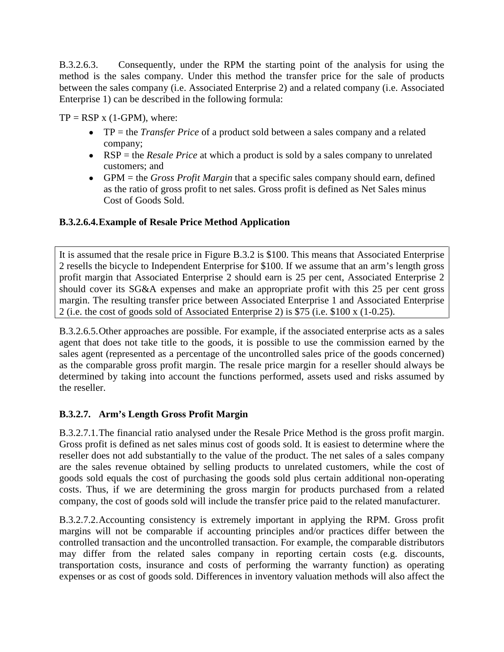B.3.2.6.3. Consequently, under the RPM the starting point of the analysis for using the method is the sales company. Under this method the transfer price for the sale of products between the sales company (i.e. Associated Enterprise 2) and a related company (i.e. Associated Enterprise 1) can be described in the following formula:

 $TP = RSP x (1-GPM)$ , where:

- TP = the *Transfer Price* of a product sold between a sales company and a related company;
- RSP = the *Resale Price* at which a product is sold by a sales company to unrelated customers; and
- GPM = the *Gross Profit Margin* that a specific sales company should earn, defined as the ratio of gross profit to net sales. Gross profit is defined as Net Sales minus Cost of Goods Sold.

## **B.3.2.6.4.Example of Resale Price Method Application**

It is assumed that the resale price in Figure B.3.2 is \$100. This means that Associated Enterprise 2 resells the bicycle to Independent Enterprise for \$100. If we assume that an arm's length gross profit margin that Associated Enterprise 2 should earn is 25 per cent, Associated Enterprise 2 should cover its SG&A expenses and make an appropriate profit with this 25 per cent gross margin. The resulting transfer price between Associated Enterprise 1 and Associated Enterprise 2 (i.e. the cost of goods sold of Associated Enterprise 2) is \$75 (i.e. \$100 x (1‐0.25).

B.3.2.6.5.Other approaches are possible. For example, if the associated enterprise acts as a sales agent that does not take title to the goods, it is possible to use the commission earned by the sales agent (represented as a percentage of the uncontrolled sales price of the goods concerned) as the comparable gross profit margin. The resale price margin for a reseller should always be determined by taking into account the functions performed, assets used and risks assumed by the reseller.

## **B.3.2.7. Arm's Length Gross Profit Margin**

B.3.2.7.1.The financial ratio analysed under the Resale Price Method is the gross profit margin. Gross profit is defined as net sales minus cost of goods sold. It is easiest to determine where the reseller does not add substantially to the value of the product. The net sales of a sales company are the sales revenue obtained by selling products to unrelated customers, while the cost of goods sold equals the cost of purchasing the goods sold plus certain additional non-operating costs. Thus, if we are determining the gross margin for products purchased from a related company, the cost of goods sold will include the transfer price paid to the related manufacturer.

B.3.2.7.2.Accounting consistency is extremely important in applying the RPM. Gross profit margins will not be comparable if accounting principles and/or practices differ between the controlled transaction and the uncontrolled transaction. For example, the comparable distributors may differ from the related sales company in reporting certain costs (e.g. discounts, transportation costs, insurance and costs of performing the warranty function) as operating expenses or as cost of goods sold. Differences in inventory valuation methods will also affect the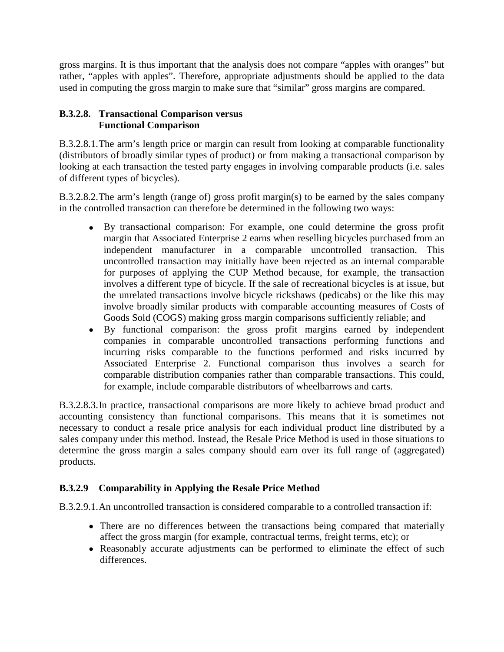gross margins. It is thus important that the analysis does not compare "apples with oranges" but rather, "apples with apples". Therefore, appropriate adjustments should be applied to the data used in computing the gross margin to make sure that "similar" gross margins are compared.

#### **B.3.2.8. Transactional Comparison versus Functional Comparison**

B.3.2.8.1.The arm's length price or margin can result from looking at comparable functionality (distributors of broadly similar types of product) or from making a transactional comparison by looking at each transaction the tested party engages in involving comparable products (i.e. sales of different types of bicycles).

B.3.2.8.2.The arm's length (range of) gross profit margin(s) to be earned by the sales company in the controlled transaction can therefore be determined in the following two ways:

- By transactional comparison: For example, one could determine the gross profit margin that Associated Enterprise 2 earns when reselling bicycles purchased from an independent manufacturer in a comparable uncontrolled transaction. This uncontrolled transaction may initially have been rejected as an internal comparable for purposes of applying the CUP Method because, for example, the transaction involves a different type of bicycle. If the sale of recreational bicycles is at issue, but the unrelated transactions involve bicycle rickshaws (pedicabs) or the like this may involve broadly similar products with comparable accounting measures of Costs of Goods Sold (COGS) making gross margin comparisons sufficiently reliable; and
- By functional comparison: the gross profit margins earned by independent companies in comparable uncontrolled transactions performing functions and incurring risks comparable to the functions performed and risks incurred by Associated Enterprise 2. Functional comparison thus involves a search for comparable distribution companies rather than comparable transactions. This could, for example, include comparable distributors of wheelbarrows and carts.

B.3.2.8.3.In practice, transactional comparisons are more likely to achieve broad product and accounting consistency than functional comparisons. This means that it is sometimes not necessary to conduct a resale price analysis for each individual product line distributed by a sales company under this method. Instead, the Resale Price Method is used in those situations to determine the gross margin a sales company should earn over its full range of (aggregated) products.

## **B.3.2.9 Comparability in Applying the Resale Price Method**

B.3.2.9.1.An uncontrolled transaction is considered comparable to a controlled transaction if:

- There are no differences between the transactions being compared that materially affect the gross margin (for example, contractual terms, freight terms, etc); or
- Reasonably accurate adjustments can be performed to eliminate the effect of such differences.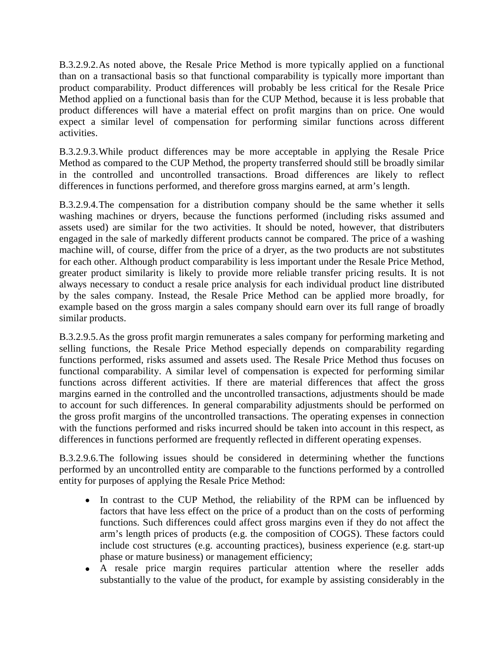B.3.2.9.2.As noted above, the Resale Price Method is more typically applied on a functional than on a transactional basis so that functional comparability is typically more important than product comparability. Product differences will probably be less critical for the Resale Price Method applied on a functional basis than for the CUP Method, because it is less probable that product differences will have a material effect on profit margins than on price. One would expect a similar level of compensation for performing similar functions across different activities.

B.3.2.9.3.While product differences may be more acceptable in applying the Resale Price Method as compared to the CUP Method, the property transferred should still be broadly similar in the controlled and uncontrolled transactions. Broad differences are likely to reflect differences in functions performed, and therefore gross margins earned, at arm's length.

B.3.2.9.4.The compensation for a distribution company should be the same whether it sells washing machines or dryers, because the functions performed (including risks assumed and assets used) are similar for the two activities. It should be noted, however, that distributers engaged in the sale of markedly different products cannot be compared. The price of a washing machine will, of course, differ from the price of a dryer, as the two products are not substitutes for each other. Although product comparability is less important under the Resale Price Method, greater product similarity is likely to provide more reliable transfer pricing results. It is not always necessary to conduct a resale price analysis for each individual product line distributed by the sales company. Instead, the Resale Price Method can be applied more broadly, for example based on the gross margin a sales company should earn over its full range of broadly similar products.

B.3.2.9.5.As the gross profit margin remunerates a sales company for performing marketing and selling functions, the Resale Price Method especially depends on comparability regarding functions performed, risks assumed and assets used. The Resale Price Method thus focuses on functional comparability. A similar level of compensation is expected for performing similar functions across different activities. If there are material differences that affect the gross margins earned in the controlled and the uncontrolled transactions, adjustments should be made to account for such differences. In general comparability adjustments should be performed on the gross profit margins of the uncontrolled transactions. The operating expenses in connection with the functions performed and risks incurred should be taken into account in this respect, as differences in functions performed are frequently reflected in different operating expenses.

B.3.2.9.6.The following issues should be considered in determining whether the functions performed by an uncontrolled entity are comparable to the functions performed by a controlled entity for purposes of applying the Resale Price Method:

- In contrast to the CUP Method, the reliability of the RPM can be influenced by factors that have less effect on the price of a product than on the costs of performing functions. Such differences could affect gross margins even if they do not affect the arm's length prices of products (e.g. the composition of COGS). These factors could include cost structures (e.g. accounting practices), business experience (e.g. start‐up phase or mature business) or management efficiency;
- A resale price margin requires particular attention where the reseller adds substantially to the value of the product, for example by assisting considerably in the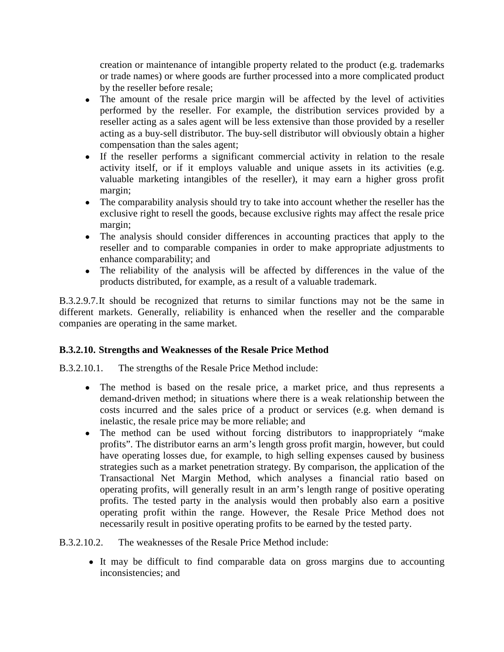creation or maintenance of intangible property related to the product (e.g. trademarks or trade names) or where goods are further processed into a more complicated product by the reseller before resale;

- The amount of the resale price margin will be affected by the level of activities performed by the reseller. For example, the distribution services provided by a reseller acting as a sales agent will be less extensive than those provided by a reseller acting as a buy‐sell distributor. The buy‐sell distributor will obviously obtain a higher compensation than the sales agent;
- If the reseller performs a significant commercial activity in relation to the resale activity itself, or if it employs valuable and unique assets in its activities (e.g. valuable marketing intangibles of the reseller), it may earn a higher gross profit margin;
- The comparability analysis should try to take into account whether the reseller has the exclusive right to resell the goods, because exclusive rights may affect the resale price margin;
- The analysis should consider differences in accounting practices that apply to the reseller and to comparable companies in order to make appropriate adjustments to enhance comparability; and
- The reliability of the analysis will be affected by differences in the value of the products distributed, for example, as a result of a valuable trademark.

B.3.2.9.7.It should be recognized that returns to similar functions may not be the same in different markets. Generally, reliability is enhanced when the reseller and the comparable companies are operating in the same market.

## **B.3.2.10. Strengths and Weaknesses of the Resale Price Method**

B.3.2.10.1. The strengths of the Resale Price Method include:

- The method is based on the resale price, a market price, and thus represents a demand-driven method; in situations where there is a weak relationship between the costs incurred and the sales price of a product or services (e.g. when demand is inelastic, the resale price may be more reliable; and
- The method can be used without forcing distributors to inappropriately "make profits". The distributor earns an arm's length gross profit margin, however, but could have operating losses due, for example, to high selling expenses caused by business strategies such as a market penetration strategy. By comparison, the application of the Transactional Net Margin Method, which analyses a financial ratio based on operating profits, will generally result in an arm's length range of positive operating profits. The tested party in the analysis would then probably also earn a positive operating profit within the range. However, the Resale Price Method does not necessarily result in positive operating profits to be earned by the tested party.

B.3.2.10.2. The weaknesses of the Resale Price Method include:

• It may be difficult to find comparable data on gross margins due to accounting inconsistencies; and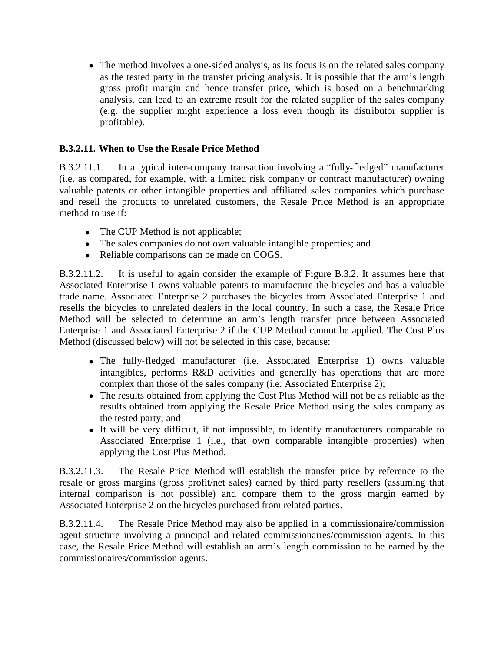• The method involves a one-sided analysis, as its focus is on the related sales company as the tested party in the transfer pricing analysis. It is possible that the arm's length gross profit margin and hence transfer price, which is based on a benchmarking analysis, can lead to an extreme result for the related supplier of the sales company (e.g. the supplier might experience a loss even though its distributor supplier is profitable).

#### **B.3.2.11. When to Use the Resale Price Method**

B.3.2.11.1. In a typical inter-company transaction involving a "fully‐fledged" manufacturer (i.e. as compared, for example, with a limited risk company or contract manufacturer) owning valuable patents or other intangible properties and affiliated sales companies which purchase and resell the products to unrelated customers, the Resale Price Method is an appropriate method to use if:

- The CUP Method is not applicable;
- The sales companies do not own valuable intangible properties; and
- Reliable comparisons can be made on COGS.

B.3.2.11.2. It is useful to again consider the example of Figure B.3.2. It assumes here that Associated Enterprise 1 owns valuable patents to manufacture the bicycles and has a valuable trade name. Associated Enterprise 2 purchases the bicycles from Associated Enterprise 1 and resells the bicycles to unrelated dealers in the local country. In such a case, the Resale Price Method will be selected to determine an arm's length transfer price between Associated Enterprise 1 and Associated Enterprise 2 if the CUP Method cannot be applied. The Cost Plus Method (discussed below) will not be selected in this case, because:

- The fully-fledged manufacturer (i.e. Associated Enterprise 1) owns valuable intangibles, performs R&D activities and generally has operations that are more complex than those of the sales company (i.e. Associated Enterprise 2);
- The results obtained from applying the Cost Plus Method will not be as reliable as the results obtained from applying the Resale Price Method using the sales company as the tested party; and
- It will be very difficult, if not impossible, to identify manufacturers comparable to Associated Enterprise 1 (i.e., that own comparable intangible properties) when applying the Cost Plus Method.

B.3.2.11.3. The Resale Price Method will establish the transfer price by reference to the resale or gross margins (gross profit/net sales) earned by third party resellers (assuming that internal comparison is not possible) and compare them to the gross margin earned by Associated Enterprise 2 on the bicycles purchased from related parties.

B.3.2.11.4. The Resale Price Method may also be applied in a commissionaire/commission agent structure involving a principal and related commissionaires/commission agents. In this case, the Resale Price Method will establish an arm's length commission to be earned by the commissionaires/commission agents.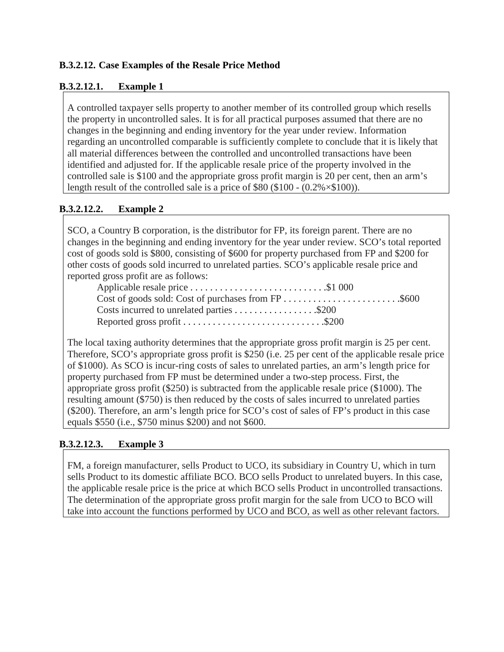## **B.3.2.12. Case Examples of the Resale Price Method**

#### **B.3.2.12.1. Example 1**

A controlled taxpayer sells property to another member of its controlled group which resells the property in uncontrolled sales. It is for all practical purposes assumed that there are no changes in the beginning and ending inventory for the year under review. Information regarding an uncontrolled comparable is sufficiently complete to conclude that it is likely that all material differences between the controlled and uncontrolled transactions have been identified and adjusted for. If the applicable resale price of the property involved in the controlled sale is \$100 and the appropriate gross profit margin is 20 per cent, then an arm's length result of the controlled sale is a price of  $$80 ($100 - (0.2\% \times $100))$ .

#### **B.3.2.12.2. Example 2**

SCO, a Country B corporation, is the distributor for FP, its foreign parent. There are no changes in the beginning and ending inventory for the year under review. SCO's total reported cost of goods sold is \$800, consisting of \$600 for property purchased from FP and \$200 for other costs of goods sold incurred to unrelated parties. SCO's applicable resale price and reported gross profit are as follows:

| Applicable resale price \$1 000 |  |
|---------------------------------|--|
|                                 |  |
|                                 |  |
|                                 |  |

The local taxing authority determines that the appropriate gross profit margin is 25 per cent. Therefore, SCO's appropriate gross profit is \$250 (i.e. 25 per cent of the applicable resale price of \$1000). As SCO is incur-ring costs of sales to unrelated parties, an arm's length price for property purchased from FP must be determined under a two-step process. First, the appropriate gross profit (\$250) is subtracted from the applicable resale price (\$1000). The resulting amount (\$750) is then reduced by the costs of sales incurred to unrelated parties (\$200). Therefore, an arm's length price for SCO's cost of sales of FP's product in this case equals \$550 (i.e., \$750 minus \$200) and not \$600.

#### **B.3.2.12.3. Example 3**

FM, a foreign manufacturer, sells Product to UCO, its subsidiary in Country U, which in turn sells Product to its domestic affiliate BCO. BCO sells Product to unrelated buyers. In this case, the applicable resale price is the price at which BCO sells Product in uncontrolled transactions. The determination of the appropriate gross profit margin for the sale from UCO to BCO will take into account the functions performed by UCO and BCO, as well as other relevant factors.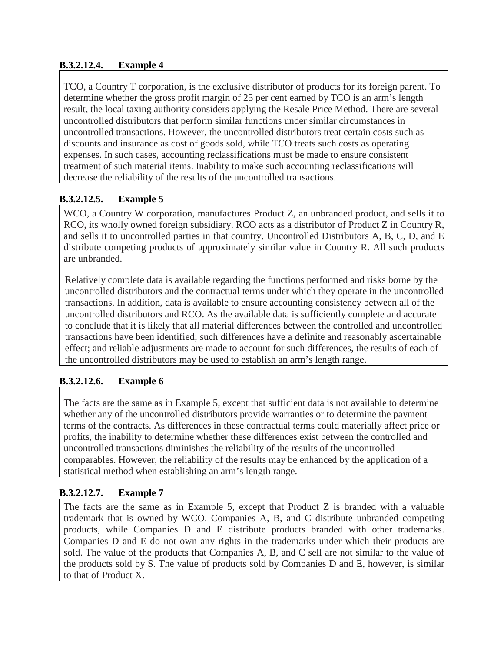## **B.3.2.12.4. Example 4**

TCO, a Country T corporation, is the exclusive distributor of products for its foreign parent. To determine whether the gross profit margin of 25 per cent earned by TCO is an arm's length result, the local taxing authority considers applying the Resale Price Method. There are several uncontrolled distributors that perform similar functions under similar circumstances in uncontrolled transactions. However, the uncontrolled distributors treat certain costs such as discounts and insurance as cost of goods sold, while TCO treats such costs as operating expenses. In such cases, accounting reclassifications must be made to ensure consistent treatment of such material items. Inability to make such accounting reclassifications will decrease the reliability of the results of the uncontrolled transactions.

# **B.3.2.12.5. Example 5**

WCO, a Country W corporation, manufactures Product Z, an unbranded product, and sells it to RCO, its wholly owned foreign subsidiary. RCO acts as a distributor of Product Z in Country R, and sells it to uncontrolled parties in that country. Uncontrolled Distributors A, B, C, D, and E distribute competing products of approximately similar value in Country R. All such products are unbranded.

Relatively complete data is available regarding the functions performed and risks borne by the uncontrolled distributors and the contractual terms under which they operate in the uncontrolled transactions. In addition, data is available to ensure accounting consistency between all of the uncontrolled distributors and RCO. As the available data is sufficiently complete and accurate to conclude that it is likely that all material differences between the controlled and uncontrolled transactions have been identified; such differences have a definite and reasonably ascertainable effect; and reliable adjustments are made to account for such differences, the results of each of the uncontrolled distributors may be used to establish an arm's length range.

## **B.3.2.12.6. Example 6**

The facts are the same as in Example 5, except that sufficient data is not available to determine whether any of the uncontrolled distributors provide warranties or to determine the payment terms of the contracts. As differences in these contractual terms could materially affect price or profits, the inability to determine whether these differences exist between the controlled and uncontrolled transactions diminishes the reliability of the results of the uncontrolled comparables. However, the reliability of the results may be enhanced by the application of a statistical method when establishing an arm's length range.

## **B.3.2.12.7. Example 7**

The facts are the same as in Example 5, except that Product Z is branded with a valuable trademark that is owned by WCO. Companies A, B, and C distribute unbranded competing products, while Companies D and E distribute products branded with other trademarks. Companies D and E do not own any rights in the trademarks under which their products are sold. The value of the products that Companies A, B, and C sell are not similar to the value of the products sold by S. The value of products sold by Companies D and E, however, is similar to that of Product X.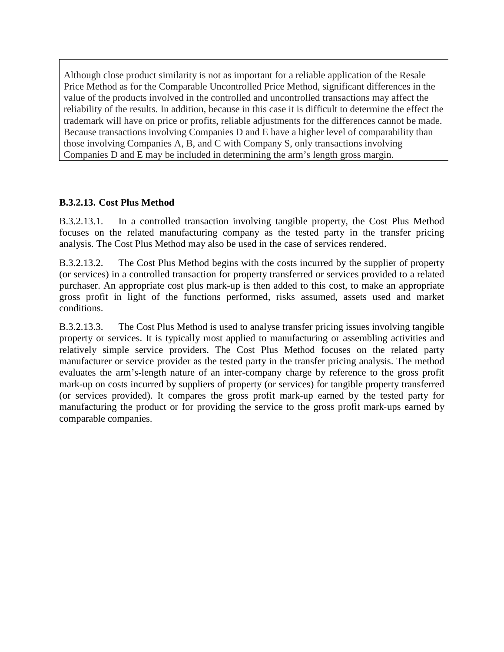Although close product similarity is not as important for a reliable application of the Resale Price Method as for the Comparable Uncontrolled Price Method, significant differences in the value of the products involved in the controlled and uncontrolled transactions may affect the reliability of the results. In addition, because in this case it is difficult to determine the effect the trademark will have on price or profits, reliable adjustments for the differences cannot be made. Because transactions involving Companies D and E have a higher level of comparability than those involving Companies A, B, and C with Company S, only transactions involving Companies D and E may be included in determining the arm's length gross margin.

### **B.3.2.13. Cost Plus Method**

B.3.2.13.1. In a controlled transaction involving tangible property, the Cost Plus Method focuses on the related manufacturing company as the tested party in the transfer pricing analysis. The Cost Plus Method may also be used in the case of services rendered.

B.3.2.13.2. The Cost Plus Method begins with the costs incurred by the supplier of property (or services) in a controlled transaction for property transferred or services provided to a related purchaser. An appropriate cost plus mark-up is then added to this cost, to make an appropriate gross profit in light of the functions performed, risks assumed, assets used and market conditions.

B.3.2.13.3. The Cost Plus Method is used to analyse transfer pricing issues involving tangible property or services. It is typically most applied to manufacturing or assembling activities and relatively simple service providers. The Cost Plus Method focuses on the related party manufacturer or service provider as the tested party in the transfer pricing analysis. The method evaluates the arm's‐length nature of an inter-company charge by reference to the gross profit mark-up on costs incurred by suppliers of property (or services) for tangible property transferred (or services provided). It compares the gross profit mark-up earned by the tested party for manufacturing the product or for providing the service to the gross profit mark‐ups earned by comparable companies.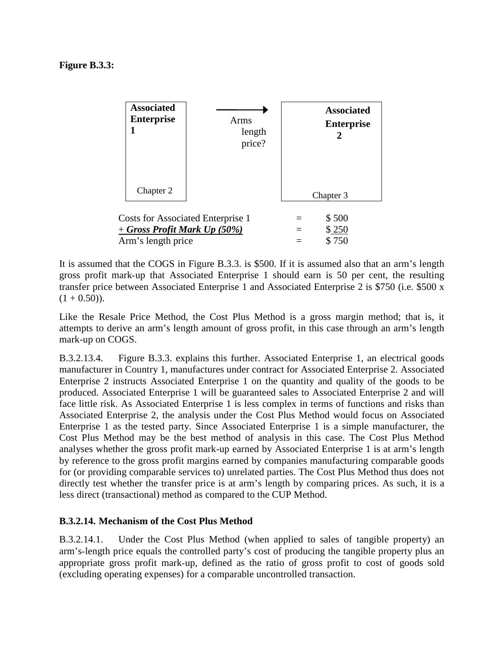

It is assumed that the COGS in Figure B.3.3. is \$500. If it is assumed also that an arm's length gross profit mark‐up that Associated Enterprise 1 should earn is 50 per cent, the resulting transfer price between Associated Enterprise 1 and Associated Enterprise 2 is \$750 (i.e. \$500 x  $(1 + 0.50)$ .

Like the Resale Price Method, the Cost Plus Method is a gross margin method; that is, it attempts to derive an arm's length amount of gross profit, in this case through an arm's length mark-up on COGS.

B.3.2.13.4. Figure B.3.3. explains this further. Associated Enterprise 1, an electrical goods manufacturer in Country 1, manufactures under contract for Associated Enterprise 2. Associated Enterprise 2 instructs Associated Enterprise 1 on the quantity and quality of the goods to be produced. Associated Enterprise 1 will be guaranteed sales to Associated Enterprise 2 and will face little risk. As Associated Enterprise 1 is less complex in terms of functions and risks than Associated Enterprise 2, the analysis under the Cost Plus Method would focus on Associated Enterprise 1 as the tested party. Since Associated Enterprise 1 is a simple manufacturer, the Cost Plus Method may be the best method of analysis in this case. The Cost Plus Method analyses whether the gross profit mark-up earned by Associated Enterprise 1 is at arm's length by reference to the gross profit margins earned by companies manufacturing comparable goods for (or providing comparable services to) unrelated parties. The Cost Plus Method thus does not directly test whether the transfer price is at arm's length by comparing prices. As such, it is a less direct (transactional) method as compared to the CUP Method.

#### **B.3.2.14. Mechanism of the Cost Plus Method**

B.3.2.14.1. Under the Cost Plus Method (when applied to sales of tangible property) an arm's‐length price equals the controlled party's cost of producing the tangible property plus an appropriate gross profit mark‐up, defined as the ratio of gross profit to cost of goods sold (excluding operating expenses) for a comparable uncontrolled transaction.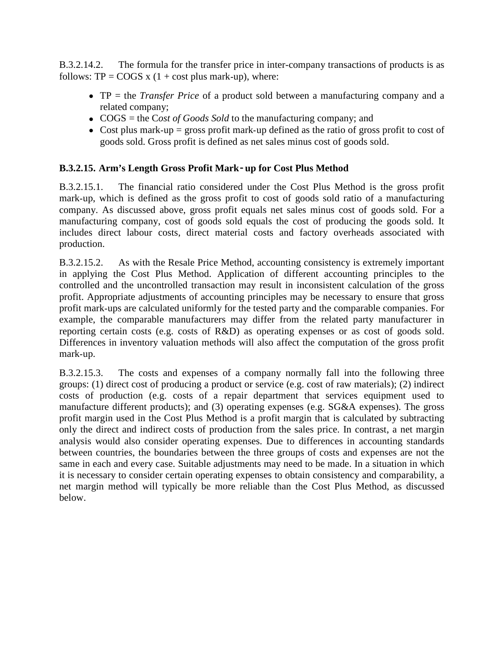B.3.2.14.2. The formula for the transfer price in inter-company transactions of products is as follows:  $TP = \text{COGS} \times (1 + \text{cost plus mark-up})$ , where:

- TP = the *Transfer Price* of a product sold between a manufacturing company and a related company;
- COGS = the Cost of Goods Sold to the manufacturing company; and
- Cost plus mark-up = gross profit mark-up defined as the ratio of gross profit to cost of goods sold. Gross profit is defined as net sales minus cost of goods sold.

#### **B.3.2.15. Arm's Length Gross Profit Mark**‐**up for Cost Plus Method**

B.3.2.15.1. The financial ratio considered under the Cost Plus Method is the gross profit mark-up, which is defined as the gross profit to cost of goods sold ratio of a manufacturing company. As discussed above, gross profit equals net sales minus cost of goods sold. For a manufacturing company, cost of goods sold equals the cost of producing the goods sold. It includes direct labour costs, direct material costs and factory overheads associated with production.

B.3.2.15.2. As with the Resale Price Method, accounting consistency is extremely important in applying the Cost Plus Method. Application of different accounting principles to the controlled and the uncontrolled transaction may result in inconsistent calculation of the gross profit. Appropriate adjustments of accounting principles may be necessary to ensure that gross profit mark‐ups are calculated uniformly for the tested party and the comparable companies. For example, the comparable manufacturers may differ from the related party manufacturer in reporting certain costs (e.g. costs of R&D) as operating expenses or as cost of goods sold. Differences in inventory valuation methods will also affect the computation of the gross profit mark‐up.

B.3.2.15.3. The costs and expenses of a company normally fall into the following three groups: (1) direct cost of producing a product or service (e.g. cost of raw materials); (2) indirect costs of production (e.g. costs of a repair department that services equipment used to manufacture different products); and (3) operating expenses (e.g. SG&A expenses). The gross profit margin used in the Cost Plus Method is a profit margin that is calculated by subtracting only the direct and indirect costs of production from the sales price. In contrast, a net margin analysis would also consider operating expenses. Due to differences in accounting standards between countries, the boundaries between the three groups of costs and expenses are not the same in each and every case. Suitable adjustments may need to be made. In a situation in which it is necessary to consider certain operating expenses to obtain consistency and comparability, a net margin method will typically be more reliable than the Cost Plus Method, as discussed below.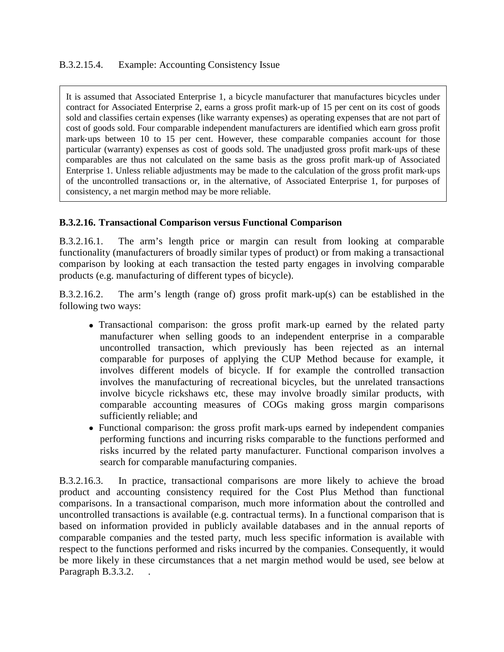It is assumed that Associated Enterprise 1, a bicycle manufacturer that manufactures bicycles under contract for Associated Enterprise 2, earns a gross profit mark‐up of 15 per cent on its cost of goods sold and classifies certain expenses (like warranty expenses) as operating expenses that are not part of cost of goods sold. Four comparable independent manufacturers are identified which earn gross profit mark-ups between 10 to 15 per cent. However, these comparable companies account for those particular (warranty) expenses as cost of goods sold. The unadjusted gross profit mark‐ups of these comparables are thus not calculated on the same basis as the gross profit mark‐up of Associated Enterprise 1. Unless reliable adjustments may be made to the calculation of the gross profit mark‐ups of the uncontrolled transactions or, in the alternative, of Associated Enterprise 1, for purposes of consistency, a net margin method may be more reliable.

#### **B.3.2.16. Transactional Comparison versus Functional Comparison**

B.3.2.16.1. The arm's length price or margin can result from looking at comparable functionality (manufacturers of broadly similar types of product) or from making a transactional comparison by looking at each transaction the tested party engages in involving comparable products (e.g. manufacturing of different types of bicycle).

B.3.2.16.2. The arm's length (range of) gross profit mark‐up(s) can be established in the following two ways:

- Transactional comparison: the gross profit mark-up earned by the related party manufacturer when selling goods to an independent enterprise in a comparable uncontrolled transaction, which previously has been rejected as an internal comparable for purposes of applying the CUP Method because for example, it involves different models of bicycle. If for example the controlled transaction involves the manufacturing of recreational bicycles, but the unrelated transactions involve bicycle rickshaws etc, these may involve broadly similar products, with comparable accounting measures of COGs making gross margin comparisons sufficiently reliable; and
- Functional comparison: the gross profit mark-ups earned by independent companies performing functions and incurring risks comparable to the functions performed and risks incurred by the related party manufacturer. Functional comparison involves a search for comparable manufacturing companies.

B.3.2.16.3. In practice, transactional comparisons are more likely to achieve the broad product and accounting consistency required for the Cost Plus Method than functional comparisons. In a transactional comparison, much more information about the controlled and uncontrolled transactions is available (e.g. contractual terms). In a functional comparison that is based on information provided in publicly available databases and in the annual reports of comparable companies and the tested party, much less specific information is available with respect to the functions performed and risks incurred by the companies. Consequently, it would be more likely in these circumstances that a net margin method would be used, see below at Paragraph B.3.3.2. .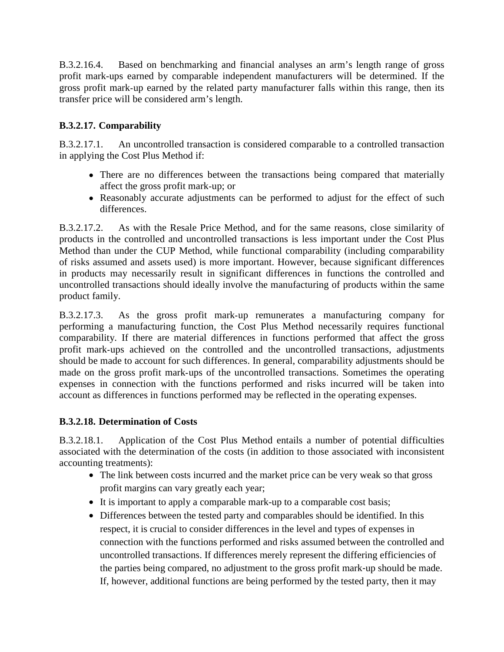B.3.2.16.4. Based on benchmarking and financial analyses an arm's length range of gross profit mark-ups earned by comparable independent manufacturers will be determined. If the gross profit mark‐up earned by the related party manufacturer falls within this range, then its transfer price will be considered arm's length.

## **B.3.2.17. Comparability**

B.3.2.17.1. An uncontrolled transaction is considered comparable to a controlled transaction in applying the Cost Plus Method if:

- There are no differences between the transactions being compared that materially affect the gross profit mark‐up; or
- Reasonably accurate adjustments can be performed to adjust for the effect of such differences.

B.3.2.17.2. As with the Resale Price Method, and for the same reasons, close similarity of products in the controlled and uncontrolled transactions is less important under the Cost Plus Method than under the CUP Method, while functional comparability (including comparability of risks assumed and assets used) is more important. However, because significant differences in products may necessarily result in significant differences in functions the controlled and uncontrolled transactions should ideally involve the manufacturing of products within the same product family.

B.3.2.17.3. As the gross profit mark‐up remunerates a manufacturing company for performing a manufacturing function, the Cost Plus Method necessarily requires functional comparability. If there are material differences in functions performed that affect the gross profit mark‐ups achieved on the controlled and the uncontrolled transactions, adjustments should be made to account for such differences. In general, comparability adjustments should be made on the gross profit mark‐ups of the uncontrolled transactions. Sometimes the operating expenses in connection with the functions performed and risks incurred will be taken into account as differences in functions performed may be reflected in the operating expenses.

#### **B.3.2.18. Determination of Costs**

B.3.2.18.1. Application of the Cost Plus Method entails a number of potential difficulties associated with the determination of the costs (in addition to those associated with inconsistent accounting treatments):

- The link between costs incurred and the market price can be very weak so that gross profit margins can vary greatly each year;
- It is important to apply a comparable mark-up to a comparable cost basis;
- Differences between the tested party and comparables should be identified. In this respect, it is crucial to consider differences in the level and types of expenses in connection with the functions performed and risks assumed between the controlled and uncontrolled transactions. If differences merely represent the differing efficiencies of the parties being compared, no adjustment to the gross profit mark‐up should be made. If, however, additional functions are being performed by the tested party, then it may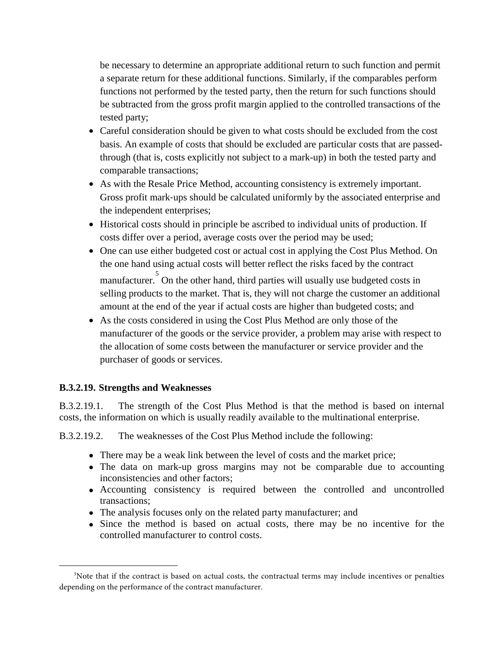be necessary to determine an appropriate additional return to such function and permit a separate return for these additional functions. Similarly, if the comparables perform functions not performed by the tested party, then the return for such functions should be subtracted from the gross profit margin applied to the controlled transactions of the tested party;

- Careful consideration should be given to what costs should be excluded from the cost basis. An example of costs that should be excluded are particular costs that are passedthrough (that is, costs explicitly not subject to a mark-up) in both the tested party and comparable transactions;
- As with the Resale Price Method, accounting consistency is extremely important. Gross profit mark‐ups should be calculated uniformly by the associated enterprise and the independent enterprises;
- Historical costs should in principle be ascribed to individual units of production. If costs differ over a period, average costs over the period may be used;
- One can use either budgeted cost or actual cost in applying the Cost Plus Method. On the one hand using actual costs will better reflect the risks faced by the contract manufacturer. [5](#page-22-0) On the other hand, third parties will usually use budgeted costs in selling products to the market. That is, they will not charge the customer an additional amount at the end of the year if actual costs are higher than budgeted costs; and
- As the costs considered in using the Cost Plus Method are only those of the manufacturer of the goods or the service provider, a problem may arise with respect to the allocation of some costs between the manufacturer or service provider and the purchaser of goods or services.

#### **B.3.2.19. Strengths and Weaknesses**

 $\overline{a}$ 

B.3.2.19.1. The strength of the Cost Plus Method is that the method is based on internal costs, the information on which is usually readily available to the multinational enterprise.

B.3.2.19.2. The weaknesses of the Cost Plus Method include the following:

- There may be a weak link between the level of costs and the market price;
- The data on mark-up gross margins may not be comparable due to accounting inconsistencies and other factors;
- Accounting consistency is required between the controlled and uncontrolled transactions;
- The analysis focuses only on the related party manufacturer; and
- Since the method is based on actual costs, there may be no incentive for the controlled manufacturer to control costs.

<span id="page-22-0"></span><sup>5</sup> Note that if the contract is based on actual costs, the contractual terms may include incentives or penalties depending on the performance of the contract manufacturer.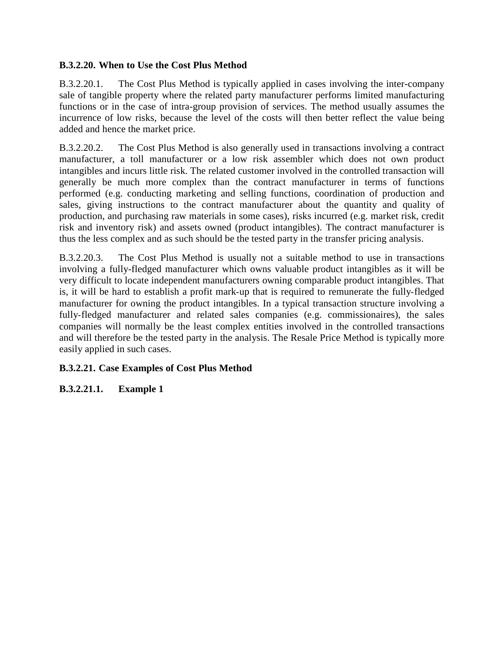#### **B.3.2.20. When to Use the Cost Plus Method**

B.3.2.20.1. The Cost Plus Method is typically applied in cases involving the inter-company sale of tangible property where the related party manufacturer performs limited manufacturing functions or in the case of intra-group provision of services. The method usually assumes the incurrence of low risks, because the level of the costs will then better reflect the value being added and hence the market price.

B.3.2.20.2. The Cost Plus Method is also generally used in transactions involving a contract manufacturer, a toll manufacturer or a low risk assembler which does not own product intangibles and incurs little risk. The related customer involved in the controlled transaction will generally be much more complex than the contract manufacturer in terms of functions performed (e.g. conducting marketing and selling functions, coordination of production and sales, giving instructions to the contract manufacturer about the quantity and quality of production, and purchasing raw materials in some cases), risks incurred (e.g. market risk, credit risk and inventory risk) and assets owned (product intangibles). The contract manufacturer is thus the less complex and as such should be the tested party in the transfer pricing analysis.

B.3.2.20.3. The Cost Plus Method is usually not a suitable method to use in transactions involving a fully-fledged manufacturer which owns valuable product intangibles as it will be very difficult to locate independent manufacturers owning comparable product intangibles. That is, it will be hard to establish a profit mark‐up that is required to remunerate the fully‐fledged manufacturer for owning the product intangibles. In a typical transaction structure involving a fully-fledged manufacturer and related sales companies (e.g. commissionaires), the sales companies will normally be the least complex entities involved in the controlled transactions and will therefore be the tested party in the analysis. The Resale Price Method is typically more easily applied in such cases.

## **B.3.2.21. Case Examples of Cost Plus Method**

#### **B.3.2.21.1. Example 1**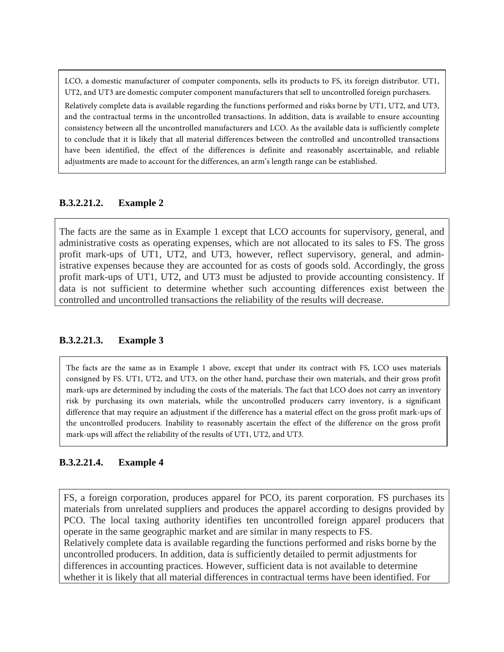LCO, a domestic manufacturer of computer components, sells its products to FS, its foreign distributor. UT1, UT2, and UT3 are domestic computer component manufacturers that sell to uncontrolled foreign purchasers.

Relatively complete data is available regarding the functions performed and risks borne by UT1, UT2, and UT3, and the contractual terms in the uncontrolled transactions. In addition, data is available to ensure accounting consistency between all the uncontrolled manufacturers and LCO. As the available data is sufficiently complete to conclude that it is likely that all material differences between the controlled and uncontrolled transactions have been identified, the effect of the differences is definite and reasonably ascertainable, and reliable adjustments are made to account for the differences, an arm's length range can be established.

#### **B.3.2.21.2. Example 2**

The facts are the same as in Example 1 except that LCO accounts for supervisory, general, and administrative costs as operating expenses, which are not allocated to its sales to FS. The gross profit mark-ups of UT1, UT2, and UT3, however, reflect supervisory, general, and administrative expenses because they are accounted for as costs of goods sold. Accordingly, the gross profit mark-ups of UT1, UT2, and UT3 must be adjusted to provide accounting consistency. If data is not sufficient to determine whether such accounting differences exist between the controlled and uncontrolled transactions the reliability of the results will decrease.

#### **B.3.2.21.3. Example 3**

The facts are the same as in Example 1 above, except that under its contract with FS, LCO uses materials consigned by FS. UT1, UT2, and UT3, on the other hand, purchase their own materials, and their gross profit mark-ups are determined by including the costs of the materials. The fact that LCO does not carry an inventory risk by purchasing its own materials, while the uncontrolled producers carry inventory, is a significant difference that may require an adjustment if the difference has a material effect on the gross profit mark-ups of the uncontrolled producers. Inability to reasonably ascertain the effect of the difference on the gross profit mark-ups will affect the reliability of the results of UT1, UT2, and UT3.

#### **B.3.2.21.4. Example 4**

FS, a foreign corporation, produces apparel for PCO, its parent corporation. FS purchases its materials from unrelated suppliers and produces the apparel according to designs provided by PCO. The local taxing authority identifies ten uncontrolled foreign apparel producers that operate in the same geographic market and are similar in many respects to FS. Relatively complete data is available regarding the functions performed and risks borne by the uncontrolled producers. In addition, data is sufficiently detailed to permit adjustments for differences in accounting practices. However, sufficient data is not available to determine whether it is likely that all material differences in contractual terms have been identified. For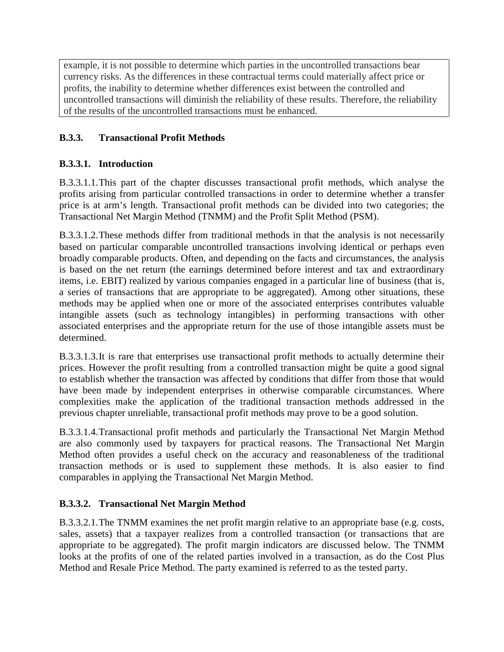example, it is not possible to determine which parties in the uncontrolled transactions bear currency risks. As the differences in these contractual terms could materially affect price or profits, the inability to determine whether differences exist between the controlled and uncontrolled transactions will diminish the reliability of these results. Therefore, the reliability of the results of the uncontrolled transactions must be enhanced.

# **B.3.3. Transactional Profit Methods**

## **B.3.3.1. Introduction**

B.3.3.1.1.This part of the chapter discusses transactional profit methods, which analyse the profits arising from particular controlled transactions in order to determine whether a transfer price is at arm's length. Transactional profit methods can be divided into two categories; the Transactional Net Margin Method (TNMM) and the Profit Split Method (PSM).

B.3.3.1.2.These methods differ from traditional methods in that the analysis is not necessarily based on particular comparable uncontrolled transactions involving identical or perhaps even broadly comparable products. Often, and depending on the facts and circumstances, the analysis is based on the net return (the earnings determined before interest and tax and extraordinary items, i.e. EBIT) realized by various companies engaged in a particular line of business (that is, a series of transactions that are appropriate to be aggregated). Among other situations, these methods may be applied when one or more of the associated enterprises contributes valuable intangible assets (such as technology intangibles) in performing transactions with other associated enterprises and the appropriate return for the use of those intangible assets must be determined.

B.3.3.1.3.It is rare that enterprises use transactional profit methods to actually determine their prices. However the profit resulting from a controlled transaction might be quite a good signal to establish whether the transaction was affected by conditions that differ from those that would have been made by independent enterprises in otherwise comparable circumstances. Where complexities make the application of the traditional transaction methods addressed in the previous chapter unreliable, transactional profit methods may prove to be a good solution.

B.3.3.1.4.Transactional profit methods and particularly the Transactional Net Margin Method are also commonly used by taxpayers for practical reasons. The Transactional Net Margin Method often provides a useful check on the accuracy and reasonableness of the traditional transaction methods or is used to supplement these methods. It is also easier to find comparables in applying the Transactional Net Margin Method.

## **B.3.3.2. Transactional Net Margin Method**

B.3.3.2.1.The TNMM examines the net profit margin relative to an appropriate base (e.g. costs, sales, assets) that a taxpayer realizes from a controlled transaction (or transactions that are appropriate to be aggregated). The profit margin indicators are discussed below. The TNMM looks at the profits of one of the related parties involved in a transaction, as do the Cost Plus Method and Resale Price Method. The party examined is referred to as the tested party.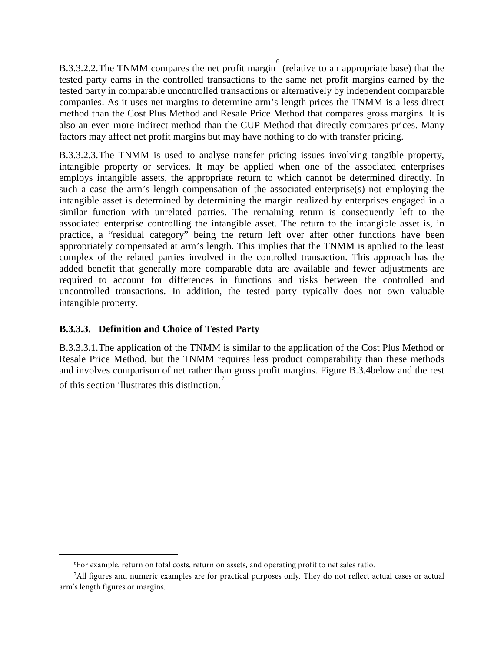B.3.3.2.2. The TNMM compares the net profit margin <sup>[6](#page-26-0)</sup> (relative to an appropriate base) that the tested party earns in the controlled transactions to the same net profit margins earned by the tested party in comparable uncontrolled transactions or alternatively by independent comparable companies. As it uses net margins to determine arm's length prices the TNMM is a less direct method than the Cost Plus Method and Resale Price Method that compares gross margins. It is also an even more indirect method than the CUP Method that directly compares prices. Many factors may affect net profit margins but may have nothing to do with transfer pricing.

B.3.3.2.3.The TNMM is used to analyse transfer pricing issues involving tangible property, intangible property or services. It may be applied when one of the associated enterprises employs intangible assets, the appropriate return to which cannot be determined directly. In such a case the arm's length compensation of the associated enterprise(s) not employing the intangible asset is determined by determining the margin realized by enterprises engaged in a similar function with unrelated parties. The remaining return is consequently left to the associated enterprise controlling the intangible asset. The return to the intangible asset is, in practice, a "residual category" being the return left over after other functions have been appropriately compensated at arm's length. This implies that the TNMM is applied to the least complex of the related parties involved in the controlled transaction. This approach has the added benefit that generally more comparable data are available and fewer adjustments are required to account for differences in functions and risks between the controlled and uncontrolled transactions. In addition, the tested party typically does not own valuable intangible property.

#### **B.3.3.3. Definition and Choice of Tested Party**

 $\overline{a}$ 

B.3.3.3.1.The application of the TNMM is similar to the application of the Cost Plus Method or Resale Price Method, but the TNMM requires less product comparability than these methods and involves comparison of net rather than gross profit margins. Figure B.3.4below and the rest of this section illustrates this distinction. [7](#page-26-1)

<sup>6</sup> For example, return on total costs, return on assets, and operating profit to net sales ratio.

<span id="page-26-1"></span><span id="page-26-0"></span><sup>7</sup> All figures and numeric examples are for practical purposes only. They do not reflect actual cases or actual arm's length figures or margins.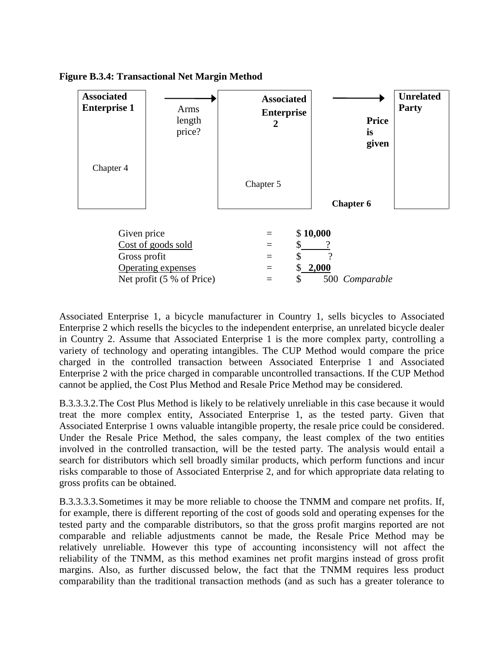



Associated Enterprise 1, a bicycle manufacturer in Country 1, sells bicycles to Associated Enterprise 2 which resells the bicycles to the independent enterprise, an unrelated bicycle dealer in Country 2. Assume that Associated Enterprise 1 is the more complex party, controlling a variety of technology and operating intangibles. The CUP Method would compare the price charged in the controlled transaction between Associated Enterprise 1 and Associated Enterprise 2 with the price charged in comparable uncontrolled transactions. If the CUP Method cannot be applied, the Cost Plus Method and Resale Price Method may be considered.

B.3.3.3.2.The Cost Plus Method is likely to be relatively unreliable in this case because it would treat the more complex entity, Associated Enterprise 1, as the tested party. Given that Associated Enterprise 1 owns valuable intangible property, the resale price could be considered. Under the Resale Price Method, the sales company, the least complex of the two entities involved in the controlled transaction, will be the tested party. The analysis would entail a search for distributors which sell broadly similar products, which perform functions and incur risks comparable to those of Associated Enterprise 2, and for which appropriate data relating to gross profits can be obtained.

B.3.3.3.3.Sometimes it may be more reliable to choose the TNMM and compare net profits. If, for example, there is different reporting of the cost of goods sold and operating expenses for the tested party and the comparable distributors, so that the gross profit margins reported are not comparable and reliable adjustments cannot be made, the Resale Price Method may be relatively unreliable. However this type of accounting inconsistency will not affect the reliability of the TNMM, as this method examines net profit margins instead of gross profit margins. Also, as further discussed below, the fact that the TNMM requires less product comparability than the traditional transaction methods (and as such has a greater tolerance to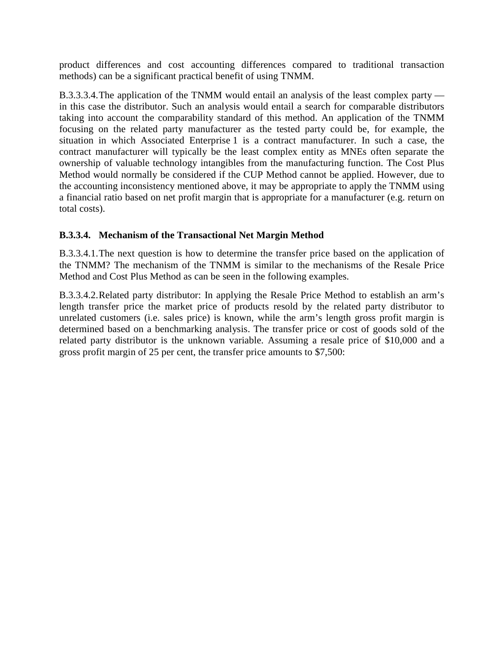product differences and cost accounting differences compared to traditional transaction methods) can be a significant practical benefit of using TNMM.

B.3.3.3.4.The application of the TNMM would entail an analysis of the least complex party in this case the distributor. Such an analysis would entail a search for comparable distributors taking into account the comparability standard of this method. An application of the TNMM focusing on the related party manufacturer as the tested party could be, for example, the situation in which Associated Enterprise 1 is a contract manufacturer. In such a case, the contract manufacturer will typically be the least complex entity as MNEs often separate the ownership of valuable technology intangibles from the manufacturing function. The Cost Plus Method would normally be considered if the CUP Method cannot be applied. However, due to the accounting inconsistency mentioned above, it may be appropriate to apply the TNMM using a financial ratio based on net profit margin that is appropriate for a manufacturer (e.g. return on total costs).

## **B.3.3.4. Mechanism of the Transactional Net Margin Method**

B.3.3.4.1.The next question is how to determine the transfer price based on the application of the TNMM? The mechanism of the TNMM is similar to the mechanisms of the Resale Price Method and Cost Plus Method as can be seen in the following examples.

B.3.3.4.2.Related party distributor: In applying the Resale Price Method to establish an arm's length transfer price the market price of products resold by the related party distributor to unrelated customers (i.e. sales price) is known, while the arm's length gross profit margin is determined based on a benchmarking analysis. The transfer price or cost of goods sold of the related party distributor is the unknown variable. Assuming a resale price of \$10,000 and a gross profit margin of 25 per cent, the transfer price amounts to \$7,500: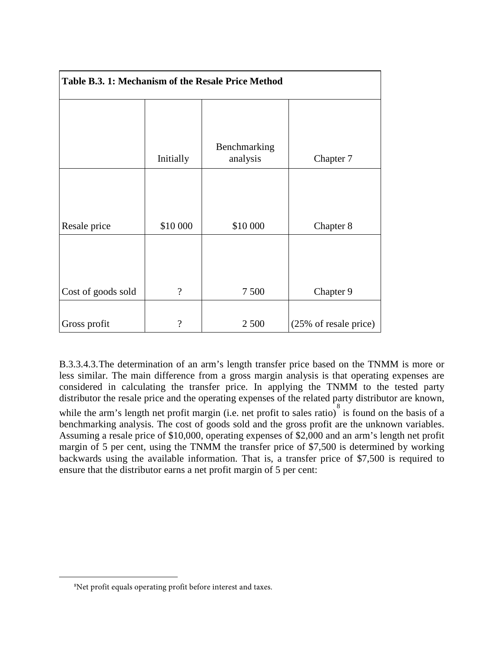| Table B.3. 1: Mechanism of the Resale Price Method |           |                          |                       |
|----------------------------------------------------|-----------|--------------------------|-----------------------|
|                                                    | Initially | Benchmarking<br>analysis | Chapter 7             |
| Resale price                                       | \$10 000  | \$10 000                 | Chapter 8             |
| Cost of goods sold                                 | $\gamma$  | 7 500                    | Chapter 9             |
| Gross profit                                       | $\gamma$  | 2 500                    | (25% of resale price) |

B.3.3.4.3.The determination of an arm's length transfer price based on the TNMM is more or less similar. The main difference from a gross margin analysis is that operating expenses are considered in calculating the transfer price. In applying the TNMM to the tested party distributor the resale price and the operating expenses of the related party distributor are known, while the arm's length net profit margin (i.e. net profit to sales ratio) is found on the basis of a benchmarking analysis. The cost of goods sold and the gross profit are the unknown variables. Assuming a resale price of \$10,000, operating expenses of \$2,000 and an arm's length net profit margin of 5 per cent, using the TNMM the transfer price of \$7,500 is determined by working backwards using the available information. That is, a transfer price of \$7,500 is required to ensure that the distributor earns a net profit margin of 5 per cent:

<span id="page-29-0"></span> $\overline{a}$ 

<sup>8</sup> Net profit equals operating profit before interest and taxes.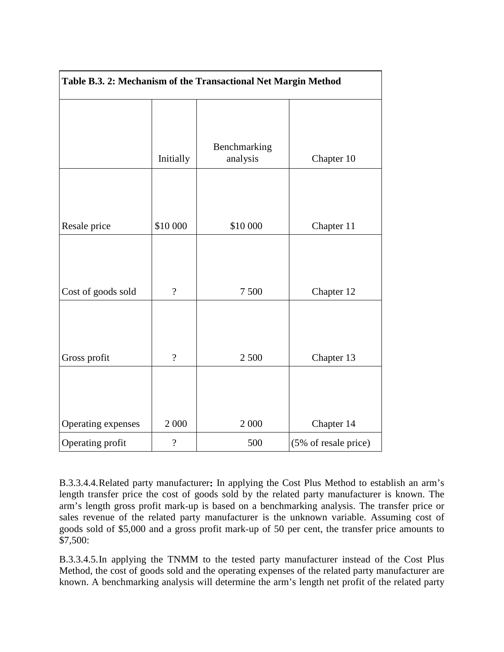| Table B.3. 2: Mechanism of the Transactional Net Margin Method |                |                          |                      |
|----------------------------------------------------------------|----------------|--------------------------|----------------------|
|                                                                | Initially      | Benchmarking<br>analysis | Chapter 10           |
|                                                                |                |                          |                      |
| Resale price                                                   | \$10 000       | \$10 000                 | Chapter 11           |
|                                                                |                |                          |                      |
| Cost of goods sold                                             | $\gamma$       | 7500                     | Chapter 12           |
|                                                                |                |                          |                      |
| Gross profit                                                   | $\gamma$       | 2 500                    | Chapter 13           |
|                                                                |                |                          |                      |
| Operating expenses                                             | 2 0 0 0        | 2 000                    | Chapter 14           |
| Operating profit                                               | $\overline{?}$ | 500                      | (5% of resale price) |

B.3.3.4.4.Related party manufacturer**:** In applying the Cost Plus Method to establish an arm's length transfer price the cost of goods sold by the related party manufacturer is known. The arm's length gross profit mark‐up is based on a benchmarking analysis. The transfer price or sales revenue of the related party manufacturer is the unknown variable. Assuming cost of goods sold of \$5,000 and a gross profit mark‐up of 50 per cent, the transfer price amounts to \$7,500:

B.3.3.4.5.In applying the TNMM to the tested party manufacturer instead of the Cost Plus Method, the cost of goods sold and the operating expenses of the related party manufacturer are known. A benchmarking analysis will determine the arm's length net profit of the related party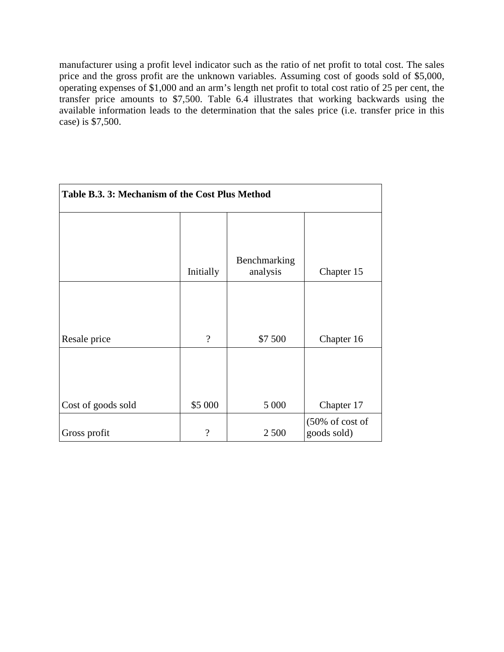manufacturer using a profit level indicator such as the ratio of net profit to total cost. The sales price and the gross profit are the unknown variables. Assuming cost of goods sold of \$5,000, operating expenses of \$1,000 and an arm's length net profit to total cost ratio of 25 per cent, the transfer price amounts to \$7,500. Table 6.4 illustrates that working backwards using the available information leads to the determination that the sales price (i.e. transfer price in this case) is \$7,500.

| Table B.3. 3: Mechanism of the Cost Plus Method |                          |                          |                                            |
|-------------------------------------------------|--------------------------|--------------------------|--------------------------------------------|
|                                                 | Initially                | Benchmarking<br>analysis | Chapter 15                                 |
| Resale price                                    | $\gamma$                 | \$7 500                  | Chapter 16                                 |
| Cost of goods sold                              | \$5 000                  | 5 0 0 0                  | Chapter 17                                 |
| Gross profit                                    | $\overline{\mathcal{L}}$ | 2 500                    | $(50\% \text{ of cost of})$<br>goods sold) |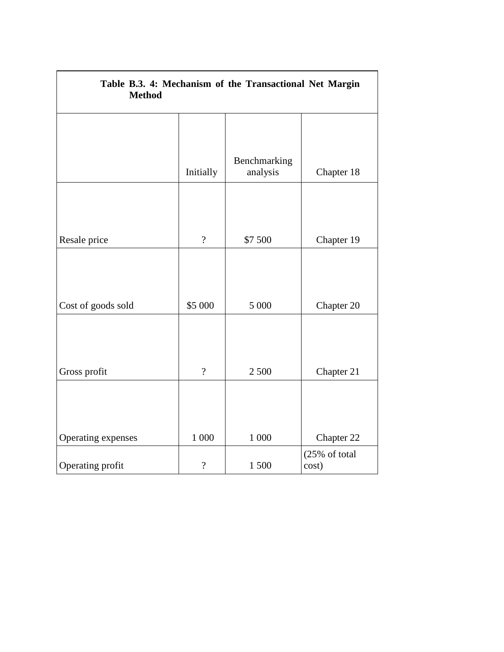| Table B.3. 4: Mechanism of the Transactional Net Margin<br><b>Method</b> |                          |                          |                        |  |
|--------------------------------------------------------------------------|--------------------------|--------------------------|------------------------|--|
|                                                                          |                          |                          |                        |  |
|                                                                          | Initially                | Benchmarking<br>analysis | Chapter 18             |  |
|                                                                          |                          |                          |                        |  |
| Resale price                                                             | $\overline{?}$           | \$7 500                  | Chapter 19             |  |
|                                                                          |                          |                          |                        |  |
| Cost of goods sold                                                       | \$5 000                  | 5 000                    | Chapter 20             |  |
|                                                                          |                          |                          |                        |  |
| Gross profit                                                             | $\gamma$                 | 2 500                    | Chapter 21             |  |
|                                                                          |                          |                          |                        |  |
| Operating expenses                                                       | 1 000                    | 1 000                    | Chapter 22             |  |
| Operating profit                                                         | $\overline{\mathcal{L}}$ | 1500                     | (25% of total<br>cost) |  |

 $\overline{\Gamma}$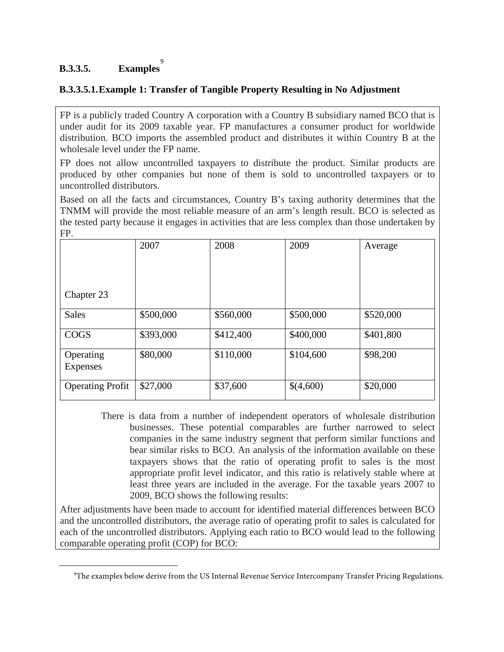# **B.3.3.5. Examples** [9](#page-33-0)

<span id="page-33-0"></span> $\overline{a}$ 

#### **B.3.3.5.1.Example 1: Transfer of Tangible Property Resulting in No Adjustment**

FP is a publicly traded Country A corporation with a Country B subsidiary named BCO that is under audit for its 2009 taxable year. FP manufactures a consumer product for worldwide distribution. BCO imports the assembled product and distributes it within Country B at the wholesale level under the FP name.

FP does not allow uncontrolled taxpayers to distribute the product. Similar products are produced by other companies but none of them is sold to uncontrolled taxpayers or to uncontrolled distributors.

Based on all the facts and circumstances, Country B's taxing authority determines that the TNMM will provide the most reliable measure of an arm's length result. BCO is selected as the tested party because it engages in activities that are less complex than those undertaken by FP.

|                         | 2007      | 2008      | 2009      | Average   |
|-------------------------|-----------|-----------|-----------|-----------|
|                         |           |           |           |           |
|                         |           |           |           |           |
| Chapter 23              |           |           |           |           |
| <b>Sales</b>            | \$500,000 | \$560,000 | \$500,000 | \$520,000 |
| <b>COGS</b>             | \$393,000 | \$412,400 | \$400,000 | \$401,800 |
| Operating               | \$80,000  | \$110,000 | \$104,600 | \$98,200  |
| Expenses                |           |           |           |           |
| <b>Operating Profit</b> | \$27,000  | \$37,600  | \$(4,600) | \$20,000  |

There is data from a number of independent operators of wholesale distribution businesses. These potential comparables are further narrowed to select companies in the same industry segment that perform similar functions and bear similar risks to BCO. An analysis of the information available on these taxpayers shows that the ratio of operating profit to sales is the most appropriate profit level indicator, and this ratio is relatively stable where at least three years are included in the average. For the taxable years 2007 to 2009, BCO shows the following results:

After adjustments have been made to account for identified material differences between BCO and the uncontrolled distributors, the average ratio of operating profit to sales is calculated for each of the uncontrolled distributors. Applying each ratio to BCO would lead to the following comparable operating profit (COP) for BCO:

<sup>9</sup> The examples below derive from the US Internal Revenue Service Intercompany Transfer Pricing Regulations.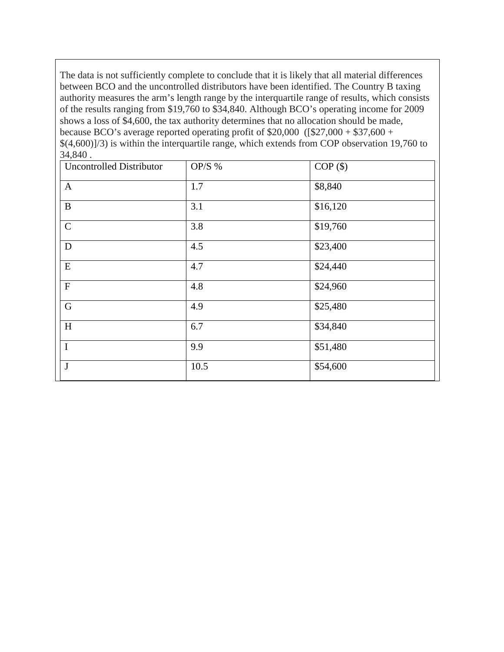The data is not sufficiently complete to conclude that it is likely that all material differences between BCO and the uncontrolled distributors have been identified. The Country B taxing authority measures the arm's length range by the interquartile range of results, which consists of the results ranging from \$19,760 to \$34,840. Although BCO's operating income for 2009 shows a loss of \$4,600, the tax authority determines that no allocation should be made, because BCO's average reported operating profit of \$20,000 ([\$27,000 + \$37,600 + \$(4,600)]/3) is within the interquartile range, which extends from COP observation 19,760 to 34,840 .

| <b>Uncontrolled Distributor</b> | OP/S $%$ | $COP($ \$) |
|---------------------------------|----------|------------|
| $\mathbf{A}$                    | 1.7      | \$8,840    |
| $\bf{B}$                        | 3.1      | \$16,120   |
| $\mathbf C$                     | 3.8      | \$19,760   |
| D                               | 4.5      | \$23,400   |
| ${\bf E}$                       | 4.7      | \$24,440   |
| $\boldsymbol{\mathrm{F}}$       | 4.8      | \$24,960   |
| $\mathbf G$                     | 4.9      | \$25,480   |
| H                               | 6.7      | \$34,840   |
| $\mathbf I$                     | 9.9      | \$51,480   |
| $\mathbf{J}$                    | 10.5     | \$54,600   |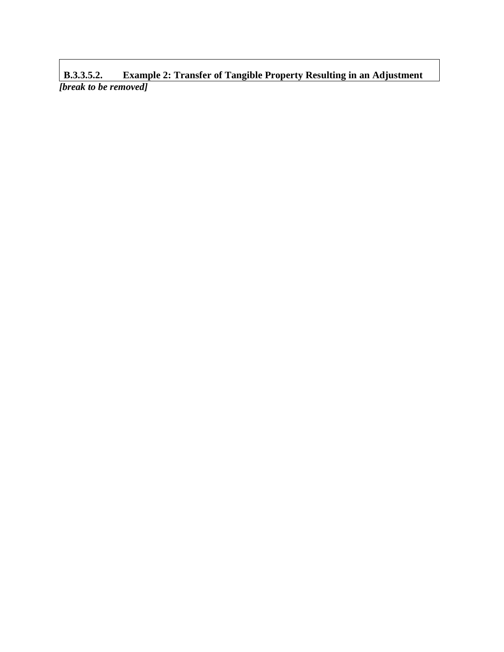**B.3.3.5.2. Example 2: Transfer of Tangible Property Resulting in an Adjustment** *[break to be removed]*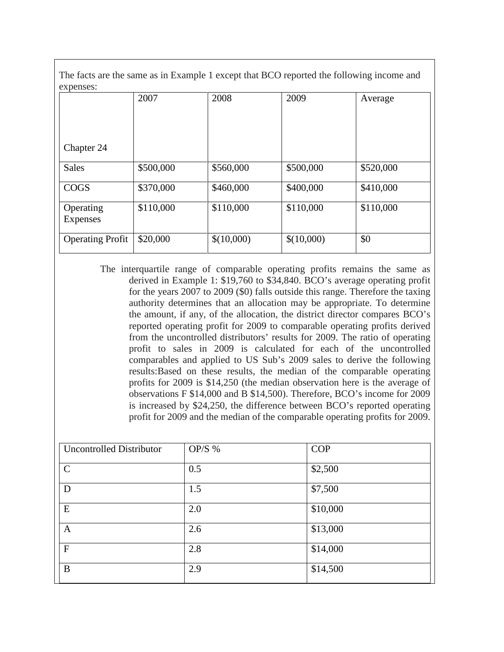The facts are the same as in Example 1 except that BCO reported the following income and expenses:

| $\alpha$ pulsos.             |           |            |            |           |
|------------------------------|-----------|------------|------------|-----------|
|                              | 2007      | 2008       | 2009       | Average   |
| Chapter 24                   |           |            |            |           |
| <b>Sales</b>                 | \$500,000 | \$560,000  | \$500,000  | \$520,000 |
| <b>COGS</b>                  | \$370,000 | \$460,000  | \$400,000  | \$410,000 |
| Operating<br><b>Expenses</b> | \$110,000 | \$110,000  | \$110,000  | \$110,000 |
| <b>Operating Profit</b>      | \$20,000  | \$(10,000) | \$(10,000) | \$0       |

The interquartile range of comparable operating profits remains the same as derived in Example 1: \$19,760 to \$34,840. BCO's average operating profit for the years 2007 to 2009 (\$0) falls outside this range. Therefore the taxing authority determines that an allocation may be appropriate. To determine the amount, if any, of the allocation, the district director compares BCO's reported operating profit for 2009 to comparable operating profits derived from the uncontrolled distributors' results for 2009. The ratio of operating profit to sales in 2009 is calculated for each of the uncontrolled comparables and applied to US Sub's 2009 sales to derive the following results:Based on these results, the median of the comparable operating profits for 2009 is \$14,250 (the median observation here is the average of observations F \$14,000 and B \$14,500). Therefore, BCO's income for 2009 is increased by \$24,250, the difference between BCO's reported operating profit for 2009 and the median of the comparable operating profits for 2009.

| <b>Uncontrolled Distributor</b> | OP/S $%$ | <b>COP</b> |
|---------------------------------|----------|------------|
| $\mathcal{C}$                   | 0.5      | \$2,500    |
| D                               | 1.5      | \$7,500    |
| E                               | 2.0      | \$10,000   |
| $\mathbf{A}$                    | 2.6      | \$13,000   |
| $\overline{F}$                  | 2.8      | \$14,000   |
| B                               | 2.9      | \$14,500   |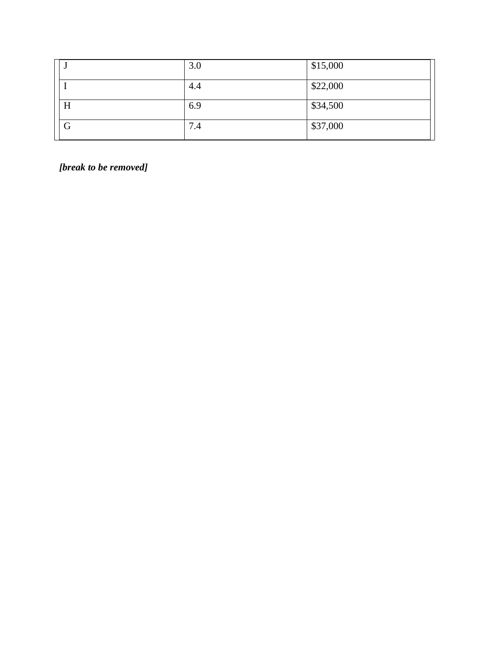|   | 3.0 | \$15,000 |
|---|-----|----------|
|   | 4.4 | \$22,000 |
| H | 6.9 | \$34,500 |
| G | 7.4 | \$37,000 |

*[break to be removed]*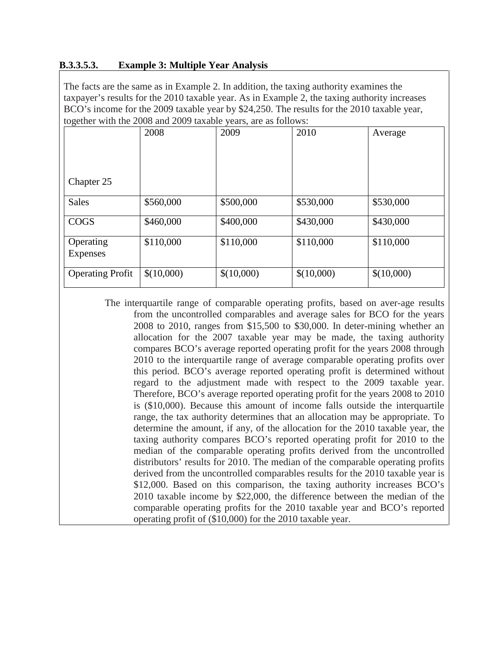#### **B.3.3.5.3. Example 3: Multiple Year Analysis**

The facts are the same as in Example 2. In addition, the taxing authority examines the taxpayer's results for the 2010 taxable year. As in Example 2, the taxing authority increases BCO's income for the 2009 taxable year by \$24,250. The results for the 2010 taxable year, together with the 2008 and 2009 taxable years, are as follows:

|                         | 2008       | 2009       | 2010       | Average    |
|-------------------------|------------|------------|------------|------------|
| Chapter 25              |            |            |            |            |
|                         |            |            |            |            |
| <b>Sales</b>            | \$560,000  | \$500,000  | \$530,000  | \$530,000  |
| <b>COGS</b>             | \$460,000  | \$400,000  | \$430,000  | \$430,000  |
| Operating<br>Expenses   | \$110,000  | \$110,000  | \$110,000  | \$110,000  |
| <b>Operating Profit</b> | \$(10,000) | \$(10,000) | \$(10,000) | \$(10,000) |

The interquartile range of comparable operating profits, based on aver-age results from the uncontrolled comparables and average sales for BCO for the years 2008 to 2010, ranges from \$15,500 to \$30,000. In deter-mining whether an allocation for the 2007 taxable year may be made, the taxing authority compares BCO's average reported operating profit for the years 2008 through 2010 to the interquartile range of average comparable operating profits over this period. BCO's average reported operating profit is determined without regard to the adjustment made with respect to the 2009 taxable year. Therefore, BCO's average reported operating profit for the years 2008 to 2010 is (\$10,000). Because this amount of income falls outside the interquartile range, the tax authority determines that an allocation may be appropriate. To determine the amount, if any, of the allocation for the 2010 taxable year, the taxing authority compares BCO's reported operating profit for 2010 to the median of the comparable operating profits derived from the uncontrolled distributors' results for 2010. The median of the comparable operating profits derived from the uncontrolled comparables results for the 2010 taxable year is \$12,000. Based on this comparison, the taxing authority increases BCO's 2010 taxable income by \$22,000, the difference between the median of the comparable operating profits for the 2010 taxable year and BCO's reported operating profit of (\$10,000) for the 2010 taxable year.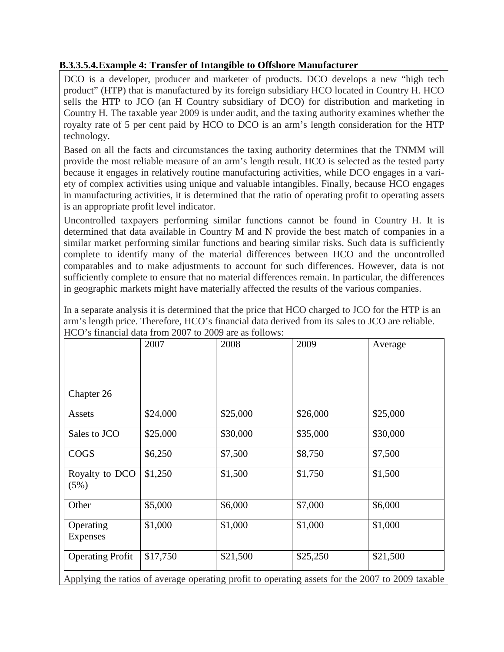## **B.3.3.5.4.Example 4: Transfer of Intangible to Offshore Manufacturer**

DCO is a developer, producer and marketer of products. DCO develops a new "high tech product" (HTP) that is manufactured by its foreign subsidiary HCO located in Country H. HCO sells the HTP to JCO (an H Country subsidiary of DCO) for distribution and marketing in Country H. The taxable year 2009 is under audit, and the taxing authority examines whether the royalty rate of 5 per cent paid by HCO to DCO is an arm's length consideration for the HTP technology.

Based on all the facts and circumstances the taxing authority determines that the TNMM will provide the most reliable measure of an arm's length result. HCO is selected as the tested party because it engages in relatively routine manufacturing activities, while DCO engages in a variety of complex activities using unique and valuable intangibles. Finally, because HCO engages in manufacturing activities, it is determined that the ratio of operating profit to operating assets is an appropriate profit level indicator.

Uncontrolled taxpayers performing similar functions cannot be found in Country H. It is determined that data available in Country M and N provide the best match of companies in a similar market performing similar functions and bearing similar risks. Such data is sufficiently complete to identify many of the material differences between HCO and the uncontrolled comparables and to make adjustments to account for such differences. However, data is not sufficiently complete to ensure that no material differences remain. In particular, the differences in geographic markets might have materially affected the results of the various companies.

In a separate analysis it is determined that the price that HCO charged to JCO for the HTP is an arm's length price. Therefore, HCO's financial data derived from its sales to JCO are reliable. HCO's financial data from 2007 to 2009 are as follows:

|                         | 2007     | 2008     | 2009     | Average  |
|-------------------------|----------|----------|----------|----------|
|                         |          |          |          |          |
| Chapter 26              |          |          |          |          |
| Assets                  | \$24,000 | \$25,000 | \$26,000 | \$25,000 |
| Sales to JCO            | \$25,000 | \$30,000 | \$35,000 | \$30,000 |
| <b>COGS</b>             | \$6,250  | \$7,500  | \$8,750  | \$7,500  |
| Royalty to DCO<br>(5%)  | \$1,250  | \$1,500  | \$1,750  | \$1,500  |
| Other                   | \$5,000  | \$6,000  | \$7,000  | \$6,000  |
| Operating<br>Expenses   | \$1,000  | \$1,000  | \$1,000  | \$1,000  |
| <b>Operating Profit</b> | \$17,750 | \$21,500 | \$25,250 | \$21,500 |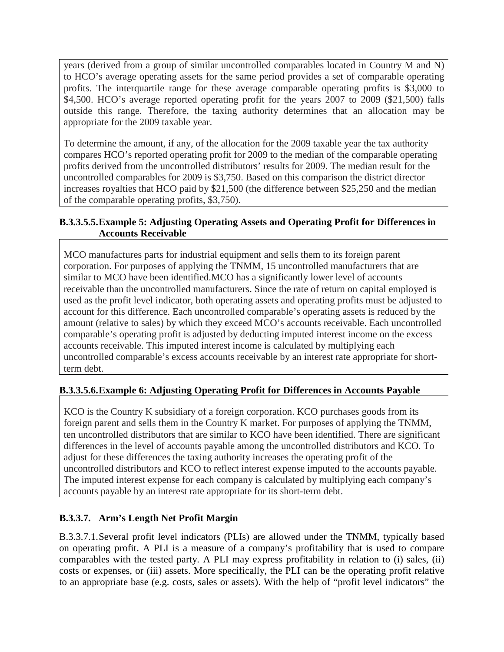years (derived from a group of similar uncontrolled comparables located in Country M and N) to HCO's average operating assets for the same period provides a set of comparable operating profits. The interquartile range for these average comparable operating profits is \$3,000 to \$4,500. HCO's average reported operating profit for the years 2007 to 2009 (\$21,500) falls outside this range. Therefore, the taxing authority determines that an allocation may be appropriate for the 2009 taxable year.

To determine the amount, if any, of the allocation for the 2009 taxable year the tax authority compares HCO's reported operating profit for 2009 to the median of the comparable operating profits derived from the uncontrolled distributors' results for 2009. The median result for the uncontrolled comparables for 2009 is \$3,750. Based on this comparison the district director increases royalties that HCO paid by \$21,500 (the difference between \$25,250 and the median of the comparable operating profits, \$3,750).

## **B.3.3.5.5.Example 5: Adjusting Operating Assets and Operating Profit for Differences in Accounts Receivable**

MCO manufactures parts for industrial equipment and sells them to its foreign parent corporation. For purposes of applying the TNMM, 15 uncontrolled manufacturers that are similar to MCO have been identified.MCO has a significantly lower level of accounts receivable than the uncontrolled manufacturers. Since the rate of return on capital employed is used as the profit level indicator, both operating assets and operating profits must be adjusted to account for this difference. Each uncontrolled comparable's operating assets is reduced by the amount (relative to sales) by which they exceed MCO's accounts receivable. Each uncontrolled comparable's operating profit is adjusted by deducting imputed interest income on the excess accounts receivable. This imputed interest income is calculated by multiplying each uncontrolled comparable's excess accounts receivable by an interest rate appropriate for shortterm debt.

## **B.3.3.5.6.Example 6: Adjusting Operating Profit for Differences in Accounts Payable**

KCO is the Country K subsidiary of a foreign corporation. KCO purchases goods from its foreign parent and sells them in the Country K market. For purposes of applying the TNMM, ten uncontrolled distributors that are similar to KCO have been identified. There are significant differences in the level of accounts payable among the uncontrolled distributors and KCO. To adjust for these differences the taxing authority increases the operating profit of the uncontrolled distributors and KCO to reflect interest expense imputed to the accounts payable. The imputed interest expense for each company is calculated by multiplying each company's accounts payable by an interest rate appropriate for its short-term debt.

# **B.3.3.7. Arm's Length Net Profit Margin**

B.3.3.7.1.Several profit level indicators (PLIs) are allowed under the TNMM, typically based on operating profit. A PLI is a measure of a company's profitability that is used to compare comparables with the tested party. A PLI may express profitability in relation to (i) sales, (ii) costs or expenses, or (iii) assets. More specifically, the PLI can be the operating profit relative to an appropriate base (e.g. costs, sales or assets). With the help of "profit level indicators" the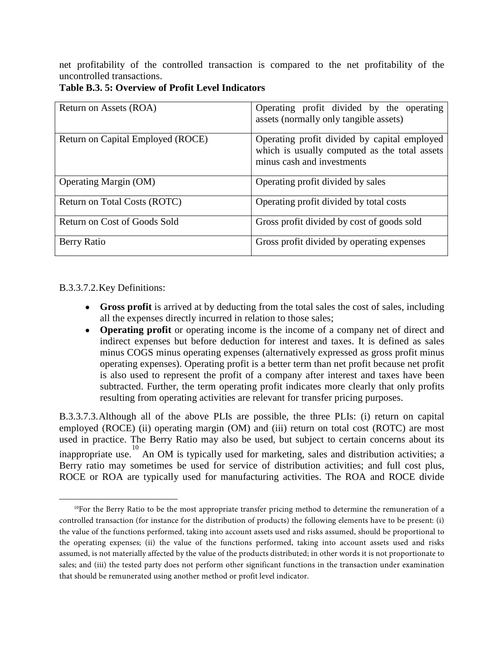net profitability of the controlled transaction is compared to the net profitability of the uncontrolled transactions.

| Return on Assets (ROA)            | Operating profit divided by the operating<br>assets (normally only tangible assets)                                         |
|-----------------------------------|-----------------------------------------------------------------------------------------------------------------------------|
| Return on Capital Employed (ROCE) | Operating profit divided by capital employed<br>which is usually computed as the total assets<br>minus cash and investments |
| <b>Operating Margin (OM)</b>      | Operating profit divided by sales                                                                                           |
| Return on Total Costs (ROTC)      | Operating profit divided by total costs                                                                                     |
| Return on Cost of Goods Sold      | Gross profit divided by cost of goods sold                                                                                  |
| Berry Ratio                       | Gross profit divided by operating expenses                                                                                  |

**Table B.3. 5: Overview of Profit Level Indicators**

B.3.3.7.2.Key Definitions:

 $\overline{a}$ 

- **Gross profit** is arrived at by deducting from the total sales the cost of sales, including all the expenses directly incurred in relation to those sales;
- **Operating profit** or operating income is the income of a company net of direct and indirect expenses but before deduction for interest and taxes. It is defined as sales minus COGS minus operating expenses (alternatively expressed as gross profit minus operating expenses). Operating profit is a better term than net profit because net profit is also used to represent the profit of a company after interest and taxes have been subtracted. Further, the term operating profit indicates more clearly that only profits resulting from operating activities are relevant for transfer pricing purposes.

B.3.3.7.3.Although all of the above PLIs are possible, the three PLIs: (i) return on capital employed (ROCE) (ii) operating margin (OM) and (iii) return on total cost (ROTC) are most used in practice. The Berry Ratio may also be used, but subject to certain concerns about its inappropriate use.<sup>[10](#page-41-0)</sup> An OM is typically used for marketing, sales and distribution activities; a Berry ratio may sometimes be used for service of distribution activities; and full cost plus, ROCE or ROA are typically used for manufacturing activities. The ROA and ROCE divide

<span id="page-41-0"></span> $10$ For the Berry Ratio to be the most appropriate transfer pricing method to determine the remuneration of a controlled transaction (for instance for the distribution of products) the following elements have to be present: (i) the value of the functions performed, taking into account assets used and risks assumed, should be proportional to the operating expenses; (ii) the value of the functions performed, taking into account assets used and risks assumed, is not materially affected by the value of the products distributed; in other words it is not proportionate to sales; and (iii) the tested party does not perform other significant functions in the transaction under examination that should be remunerated using another method or profit level indicator.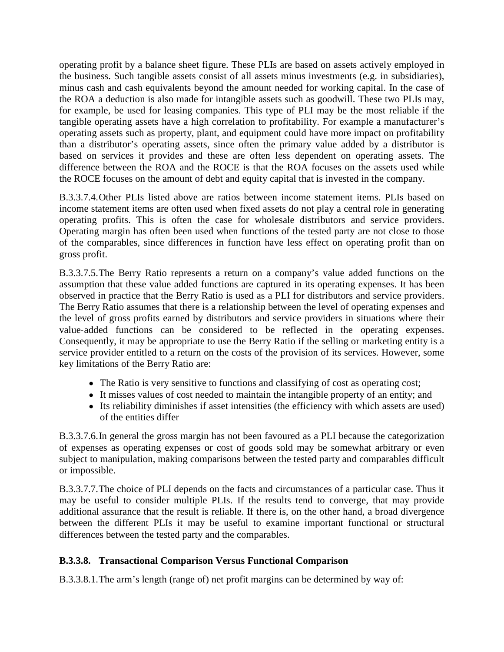operating profit by a balance sheet figure. These PLIs are based on assets actively employed in the business. Such tangible assets consist of all assets minus investments (e.g. in subsidiaries), minus cash and cash equivalents beyond the amount needed for working capital. In the case of the ROA a deduction is also made for intangible assets such as goodwill. These two PLIs may, for example, be used for leasing companies. This type of PLI may be the most reliable if the tangible operating assets have a high correlation to profitability. For example a manufacturer's operating assets such as property, plant, and equipment could have more impact on profitability than a distributor's operating assets, since often the primary value added by a distributor is based on services it provides and these are often less dependent on operating assets. The difference between the ROA and the ROCE is that the ROA focuses on the assets used while the ROCE focuses on the amount of debt and equity capital that is invested in the company.

B.3.3.7.4.Other PLIs listed above are ratios between income statement items. PLIs based on income statement items are often used when fixed assets do not play a central role in generating operating profits. This is often the case for wholesale distributors and service providers. Operating margin has often been used when functions of the tested party are not close to those of the comparables, since differences in function have less effect on operating profit than on gross profit.

B.3.3.7.5.The Berry Ratio represents a return on a company's value added functions on the assumption that these value added functions are captured in its operating expenses. It has been observed in practice that the Berry Ratio is used as a PLI for distributors and service providers. The Berry Ratio assumes that there is a relationship between the level of operating expenses and the level of gross profits earned by distributors and service providers in situations where their value-added functions can be considered to be reflected in the operating expenses. Consequently, it may be appropriate to use the Berry Ratio if the selling or marketing entity is a service provider entitled to a return on the costs of the provision of its services. However, some key limitations of the Berry Ratio are:

- The Ratio is very sensitive to functions and classifying of cost as operating cost;
- It misses values of cost needed to maintain the intangible property of an entity; and
- Its reliability diminishes if asset intensities (the efficiency with which assets are used) of the entities differ

B.3.3.7.6.In general the gross margin has not been favoured as a PLI because the categorization of expenses as operating expenses or cost of goods sold may be somewhat arbitrary or even subject to manipulation, making comparisons between the tested party and comparables difficult or impossible.

B.3.3.7.7.The choice of PLI depends on the facts and circumstances of a particular case. Thus it may be useful to consider multiple PLIs. If the results tend to converge, that may provide additional assurance that the result is reliable. If there is, on the other hand, a broad divergence between the different PLIs it may be useful to examine important functional or structural differences between the tested party and the comparables.

## **B.3.3.8. Transactional Comparison Versus Functional Comparison**

B.3.3.8.1.The arm's length (range of) net profit margins can be determined by way of: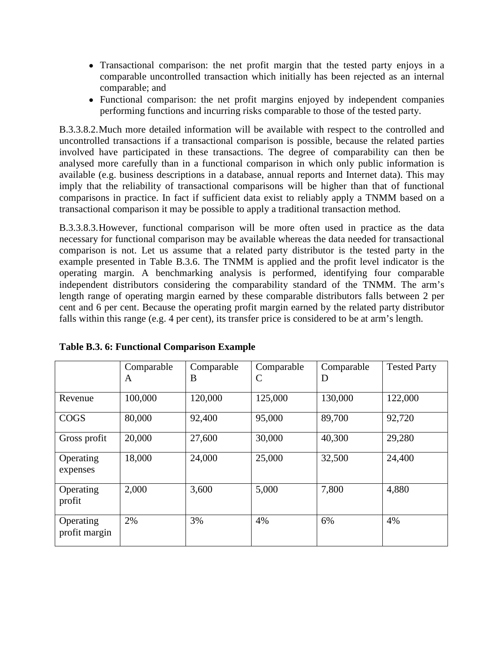- Transactional comparison: the net profit margin that the tested party enjoys in a comparable uncontrolled transaction which initially has been rejected as an internal comparable; and
- Functional comparison: the net profit margins enjoyed by independent companies performing functions and incurring risks comparable to those of the tested party.

B.3.3.8.2.Much more detailed information will be available with respect to the controlled and uncontrolled transactions if a transactional comparison is possible, because the related parties involved have participated in these transactions. The degree of comparability can then be analysed more carefully than in a functional comparison in which only public information is available (e.g. business descriptions in a database, annual reports and Internet data). This may imply that the reliability of transactional comparisons will be higher than that of functional comparisons in practice. In fact if sufficient data exist to reliably apply a TNMM based on a transactional comparison it may be possible to apply a traditional transaction method.

B.3.3.8.3.However, functional comparison will be more often used in practice as the data necessary for functional comparison may be available whereas the data needed for transactional comparison is not. Let us assume that a related party distributor is the tested party in the example presented in Table B.3.6. The TNMM is applied and the profit level indicator is the operating margin. A benchmarking analysis is performed, identifying four comparable independent distributors considering the comparability standard of the TNMM. The arm's length range of operating margin earned by these comparable distributors falls between 2 per cent and 6 per cent. Because the operating profit margin earned by the related party distributor falls within this range (e.g. 4 per cent), its transfer price is considered to be at arm's length.

|                            | Comparable<br>A | Comparable<br>B | Comparable<br>C | Comparable<br>D | <b>Tested Party</b> |
|----------------------------|-----------------|-----------------|-----------------|-----------------|---------------------|
| Revenue                    | 100,000         | 120,000         | 125,000         | 130,000         | 122,000             |
| <b>COGS</b>                | 80,000          | 92,400          | 95,000          | 89,700          | 92,720              |
| Gross profit               | 20,000          | 27,600          | 30,000          | 40,300          | 29,280              |
| Operating<br>expenses      | 18,000          | 24,000          | 25,000          | 32,500          | 24,400              |
| Operating<br>profit        | 2,000           | 3,600           | 5,000           | 7,800           | 4,880               |
| Operating<br>profit margin | 2%              | 3%              | 4%              | 6%              | 4%                  |

**Table B.3. 6: Functional Comparison Example**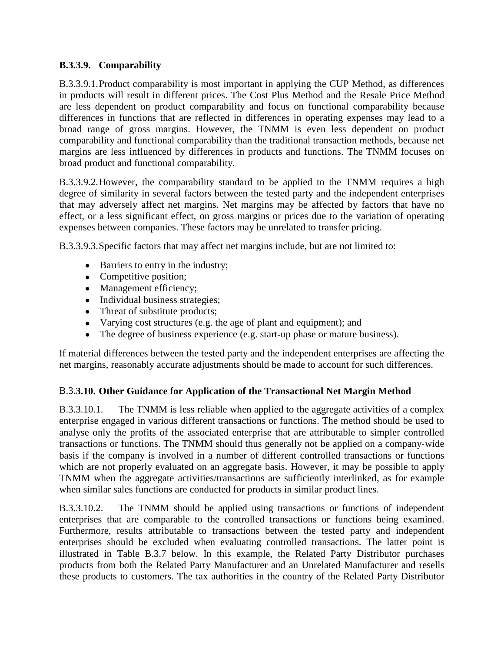#### **B.3.3.9. Comparability**

B.3.3.9.1.Product comparability is most important in applying the CUP Method, as differences in products will result in different prices. The Cost Plus Method and the Resale Price Method are less dependent on product comparability and focus on functional comparability because differences in functions that are reflected in differences in operating expenses may lead to a broad range of gross margins. However, the TNMM is even less dependent on product comparability and functional comparability than the traditional transaction methods, because net margins are less influenced by differences in products and functions. The TNMM focuses on broad product and functional comparability.

B.3.3.9.2.However, the comparability standard to be applied to the TNMM requires a high degree of similarity in several factors between the tested party and the independent enterprises that may adversely affect net margins. Net margins may be affected by factors that have no effect, or a less significant effect, on gross margins or prices due to the variation of operating expenses between companies. These factors may be unrelated to transfer pricing.

B.3.3.9.3.Specific factors that may affect net margins include, but are not limited to:

- Barriers to entry in the industry;
- Competitive position;
- Management efficiency;
- Individual business strategies;
- Threat of substitute products;
- Varying cost structures (e.g. the age of plant and equipment); and
- The degree of business experience (e.g. start-up phase or mature business).

If material differences between the tested party and the independent enterprises are affecting the net margins, reasonably accurate adjustments should be made to account for such differences.

#### B.3.**3.10. Other Guidance for Application of the Transactional Net Margin Method**

B.3.3.10.1. The TNMM is less reliable when applied to the aggregate activities of a complex enterprise engaged in various different transactions or functions. The method should be used to analyse only the profits of the associated enterprise that are attributable to simpler controlled transactions or functions. The TNMM should thus generally not be applied on a company‐wide basis if the company is involved in a number of different controlled transactions or functions which are not properly evaluated on an aggregate basis. However, it may be possible to apply TNMM when the aggregate activities/transactions are sufficiently interlinked, as for example when similar sales functions are conducted for products in similar product lines.

B.3.3.10.2. The TNMM should be applied using transactions or functions of independent enterprises that are comparable to the controlled transactions or functions being examined. Furthermore, results attributable to transactions between the tested party and independent enterprises should be excluded when evaluating controlled transactions. The latter point is illustrated in Table B.3.7 below. In this example, the Related Party Distributor purchases products from both the Related Party Manufacturer and an Unrelated Manufacturer and resells these products to customers. The tax authorities in the country of the Related Party Distributor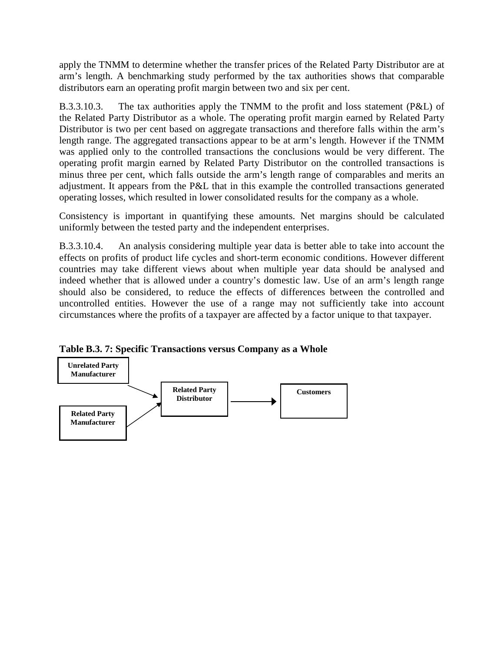apply the TNMM to determine whether the transfer prices of the Related Party Distributor are at arm's length. A benchmarking study performed by the tax authorities shows that comparable distributors earn an operating profit margin between two and six per cent.

B.3.3.10.3. The tax authorities apply the TNMM to the profit and loss statement (P&L) of the Related Party Distributor as a whole. The operating profit margin earned by Related Party Distributor is two per cent based on aggregate transactions and therefore falls within the arm's length range. The aggregated transactions appear to be at arm's length. However if the TNMM was applied only to the controlled transactions the conclusions would be very different. The operating profit margin earned by Related Party Distributor on the controlled transactions is minus three per cent, which falls outside the arm's length range of comparables and merits an adjustment. It appears from the P&L that in this example the controlled transactions generated operating losses, which resulted in lower consolidated results for the company as a whole.

Consistency is important in quantifying these amounts. Net margins should be calculated uniformly between the tested party and the independent enterprises.

B.3.3.10.4. An analysis considering multiple year data is better able to take into account the effects on profits of product life cycles and short‐term economic conditions. However different countries may take different views about when multiple year data should be analysed and indeed whether that is allowed under a country's domestic law. Use of an arm's length range should also be considered, to reduce the effects of differences between the controlled and uncontrolled entities. However the use of a range may not sufficiently take into account circumstances where the profits of a taxpayer are affected by a factor unique to that taxpayer.

**Table B.3. 7: Specific Transactions versus Company as a Whole**

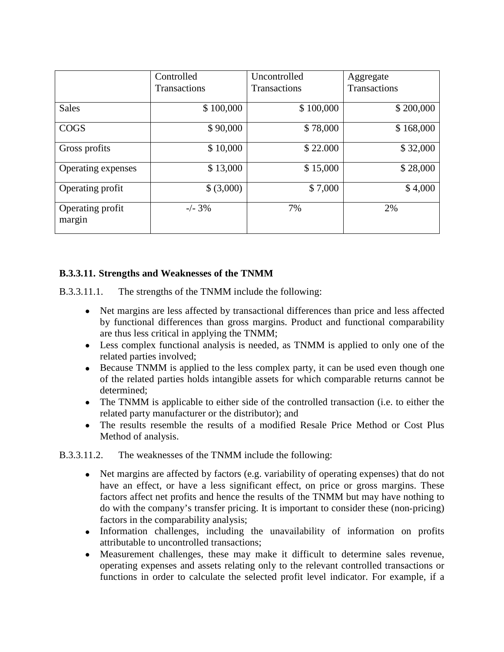|                            | Controlled          | Uncontrolled        | Aggregate           |
|----------------------------|---------------------|---------------------|---------------------|
|                            | <b>Transactions</b> | <b>Transactions</b> | <b>Transactions</b> |
|                            |                     |                     |                     |
| <b>Sales</b>               | \$100,000           | \$100,000           | \$200,000           |
| <b>COGS</b>                | \$90,000            | \$78,000            | \$168,000           |
| Gross profits              | \$10,000            | \$22.000            | \$32,000            |
| Operating expenses         | \$13,000            | \$15,000            | \$28,000            |
| Operating profit           | \$ (3,000)          | \$7,000             | \$4,000             |
| Operating profit<br>margin | $-/- 3%$            | 7%                  | 2%                  |

### **B.3.3.11. Strengths and Weaknesses of the TNMM**

B.3.3.11.1. The strengths of the TNMM include the following:

- Net margins are less affected by transactional differences than price and less affected by functional differences than gross margins. Product and functional comparability are thus less critical in applying the TNMM;
- Less complex functional analysis is needed, as TNMM is applied to only one of the related parties involved;
- Because TNMM is applied to the less complex party, it can be used even though one of the related parties holds intangible assets for which comparable returns cannot be determined;
- The TNMM is applicable to either side of the controlled transaction (i.e. to either the related party manufacturer or the distributor); and
- The results resemble the results of a modified Resale Price Method or Cost Plus Method of analysis.

B.3.3.11.2. The weaknesses of the TNMM include the following:

- Net margins are affected by factors (e.g. variability of operating expenses) that do not have an effect, or have a less significant effect, on price or gross margins. These factors affect net profits and hence the results of the TNMM but may have nothing to do with the company's transfer pricing. It is important to consider these (non‐pricing) factors in the comparability analysis;
- Information challenges, including the unavailability of information on profits attributable to uncontrolled transactions;
- Measurement challenges, these may make it difficult to determine sales revenue, operating expenses and assets relating only to the relevant controlled transactions or functions in order to calculate the selected profit level indicator. For example, if a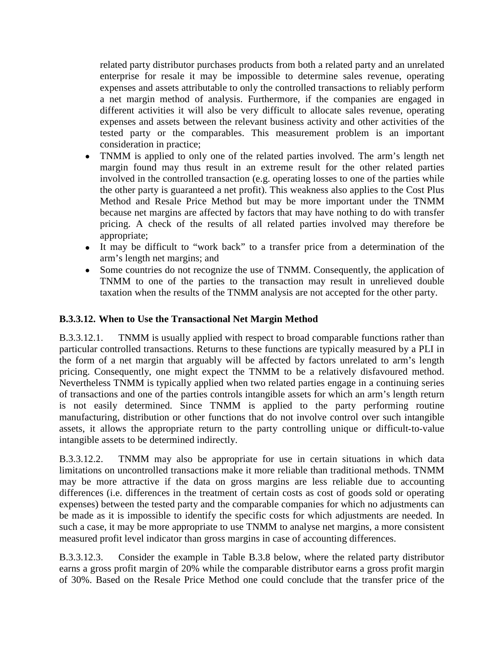related party distributor purchases products from both a related party and an unrelated enterprise for resale it may be impossible to determine sales revenue, operating expenses and assets attributable to only the controlled transactions to reliably perform a net margin method of analysis. Furthermore, if the companies are engaged in different activities it will also be very difficult to allocate sales revenue, operating expenses and assets between the relevant business activity and other activities of the tested party or the comparables. This measurement problem is an important consideration in practice;

- TNMM is applied to only one of the related parties involved. The arm's length net margin found may thus result in an extreme result for the other related parties involved in the controlled transaction (e.g. operating losses to one of the parties while the other party is guaranteed a net profit). This weakness also applies to the Cost Plus Method and Resale Price Method but may be more important under the TNMM because net margins are affected by factors that may have nothing to do with transfer pricing. A check of the results of all related parties involved may therefore be appropriate;
- It may be difficult to "work back" to a transfer price from a determination of the arm's length net margins; and
- Some countries do not recognize the use of TNMM. Consequently, the application of TNMM to one of the parties to the transaction may result in unrelieved double taxation when the results of the TNMM analysis are not accepted for the other party.

#### **B.3.3.12. When to Use the Transactional Net Margin Method**

B.3.3.12.1. TNMM is usually applied with respect to broad comparable functions rather than particular controlled transactions. Returns to these functions are typically measured by a PLI in the form of a net margin that arguably will be affected by factors unrelated to arm's length pricing. Consequently, one might expect the TNMM to be a relatively disfavoured method. Nevertheless TNMM is typically applied when two related parties engage in a continuing series of transactions and one of the parties controls intangible assets for which an arm's length return is not easily determined. Since TNMM is applied to the party performing routine manufacturing, distribution or other functions that do not involve control over such intangible assets, it allows the appropriate return to the party controlling unique or difficult-to-value intangible assets to be determined indirectly.

B.3.3.12.2. TNMM may also be appropriate for use in certain situations in which data limitations on uncontrolled transactions make it more reliable than traditional methods. TNMM may be more attractive if the data on gross margins are less reliable due to accounting differences (i.e. differences in the treatment of certain costs as cost of goods sold or operating expenses) between the tested party and the comparable companies for which no adjustments can be made as it is impossible to identify the specific costs for which adjustments are needed. In such a case, it may be more appropriate to use TNMM to analyse net margins, a more consistent measured profit level indicator than gross margins in case of accounting differences.

B.3.3.12.3. Consider the example in Table B.3.8 below, where the related party distributor earns a gross profit margin of 20% while the comparable distributor earns a gross profit margin of 30%. Based on the Resale Price Method one could conclude that the transfer price of the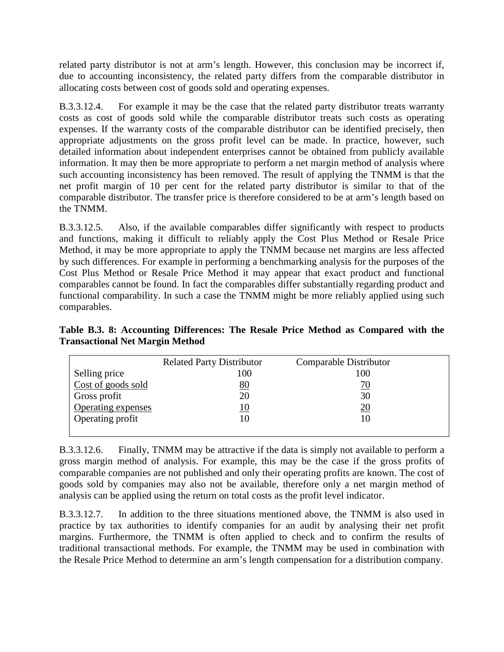related party distributor is not at arm's length. However, this conclusion may be incorrect if, due to accounting inconsistency, the related party differs from the comparable distributor in allocating costs between cost of goods sold and operating expenses.

B.3.3.12.4. For example it may be the case that the related party distributor treats warranty costs as cost of goods sold while the comparable distributor treats such costs as operating expenses. If the warranty costs of the comparable distributor can be identified precisely, then appropriate adjustments on the gross profit level can be made. In practice, however, such detailed information about independent enterprises cannot be obtained from publicly available information. It may then be more appropriate to perform a net margin method of analysis where such accounting inconsistency has been removed. The result of applying the TNMM is that the net profit margin of 10 per cent for the related party distributor is similar to that of the comparable distributor. The transfer price is therefore considered to be at arm's length based on the TNMM.

B.3.3.12.5. Also, if the available comparables differ significantly with respect to products and functions, making it difficult to reliably apply the Cost Plus Method or Resale Price Method, it may be more appropriate to apply the TNMM because net margins are less affected by such differences. For example in performing a benchmarking analysis for the purposes of the Cost Plus Method or Resale Price Method it may appear that exact product and functional comparables cannot be found. In fact the comparables differ substantially regarding product and functional comparability. In such a case the TNMM might be more reliably applied using such comparables.

**Table B.3. 8: Accounting Differences: The Resale Price Method as Compared with the Transactional Net Margin Method**

|                    | <b>Related Party Distributor</b> | Comparable Distributor |  |
|--------------------|----------------------------------|------------------------|--|
| Selling price      | 100                              | 100                    |  |
| Cost of goods sold | 80                               | <u>70</u>              |  |
| Gross profit       | 20                               | 30                     |  |
| Operating expenses | 10                               | <u> 20</u>             |  |
| Operating profit   | 10                               | 10                     |  |
|                    |                                  |                        |  |

B.3.3.12.6. Finally, TNMM may be attractive if the data is simply not available to perform a gross margin method of analysis. For example, this may be the case if the gross profits of comparable companies are not published and only their operating profits are known. The cost of goods sold by companies may also not be available, therefore only a net margin method of analysis can be applied using the return on total costs as the profit level indicator.

B.3.3.12.7. In addition to the three situations mentioned above, the TNMM is also used in practice by tax authorities to identify companies for an audit by analysing their net profit margins. Furthermore, the TNMM is often applied to check and to confirm the results of traditional transactional methods. For example, the TNMM may be used in combination with the Resale Price Method to determine an arm's length compensation for a distribution company.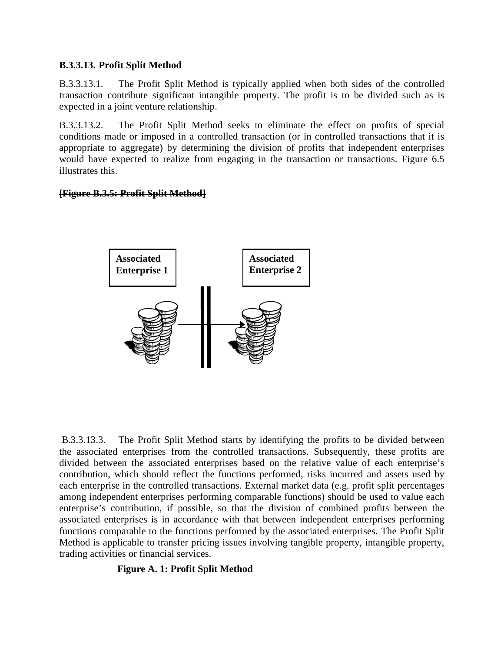#### **B.3.3.13. Profit Split Method**

B.3.3.13.1. The Profit Split Method is typically applied when both sides of the controlled transaction contribute significant intangible property. The profit is to be divided such as is expected in a joint venture relationship.

B.3.3.13.2. The Profit Split Method seeks to eliminate the effect on profits of special conditions made or imposed in a controlled transaction (or in controlled transactions that it is appropriate to aggregate) by determining the division of profits that independent enterprises would have expected to realize from engaging in the transaction or transactions. Figure 6.5 illustrates this.

### **[Figure B.3.5: Profit Split Method]**



B.3.3.13.3. The Profit Split Method starts by identifying the profits to be divided between the associated enterprises from the controlled transactions. Subsequently, these profits are divided between the associated enterprises based on the relative value of each enterprise's contribution, which should reflect the functions performed, risks incurred and assets used by each enterprise in the controlled transactions. External market data (e.g. profit split percentages among independent enterprises performing comparable functions) should be used to value each enterprise's contribution, if possible, so that the division of combined profits between the associated enterprises is in accordance with that between independent enterprises performing functions comparable to the functions performed by the associated enterprises. The Profit Split Method is applicable to transfer pricing issues involving tangible property, intangible property, trading activities or financial services.

#### **Figure A. 1: Profit Split Method**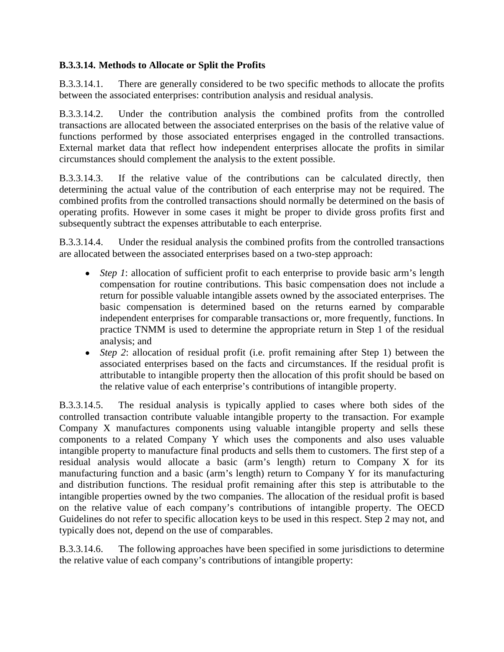### **B.3.3.14. Methods to Allocate or Split the Profits**

B.3.3.14.1. There are generally considered to be two specific methods to allocate the profits between the associated enterprises: contribution analysis and residual analysis.

B.3.3.14.2. Under the contribution analysis the combined profits from the controlled transactions are allocated between the associated enterprises on the basis of the relative value of functions performed by those associated enterprises engaged in the controlled transactions. External market data that reflect how independent enterprises allocate the profits in similar circumstances should complement the analysis to the extent possible.

B.3.3.14.3. If the relative value of the contributions can be calculated directly, then determining the actual value of the contribution of each enterprise may not be required. The combined profits from the controlled transactions should normally be determined on the basis of operating profits. However in some cases it might be proper to divide gross profits first and subsequently subtract the expenses attributable to each enterprise.

B.3.3.14.4. Under the residual analysis the combined profits from the controlled transactions are allocated between the associated enterprises based on a two‐step approach:

- *Step 1*: allocation of sufficient profit to each enterprise to provide basic arm's length compensation for routine contributions. This basic compensation does not include a return for possible valuable intangible assets owned by the associated enterprises. The basic compensation is determined based on the returns earned by comparable independent enterprises for comparable transactions or, more frequently, functions. In practice TNMM is used to determine the appropriate return in Step 1 of the residual analysis; and
- *Step 2*: allocation of residual profit (i.e. profit remaining after Step 1) between the associated enterprises based on the facts and circumstances. If the residual profit is attributable to intangible property then the allocation of this profit should be based on the relative value of each enterprise's contributions of intangible property.

B.3.3.14.5. The residual analysis is typically applied to cases where both sides of the controlled transaction contribute valuable intangible property to the transaction. For example Company X manufactures components using valuable intangible property and sells these components to a related Company Y which uses the components and also uses valuable intangible property to manufacture final products and sells them to customers. The first step of a residual analysis would allocate a basic (arm's length) return to Company X for its manufacturing function and a basic (arm's length) return to Company Y for its manufacturing and distribution functions. The residual profit remaining after this step is attributable to the intangible properties owned by the two companies. The allocation of the residual profit is based on the relative value of each company's contributions of intangible property. The OECD Guidelines do not refer to specific allocation keys to be used in this respect. Step 2 may not, and typically does not, depend on the use of comparables.

B.3.3.14.6. The following approaches have been specified in some jurisdictions to determine the relative value of each company's contributions of intangible property: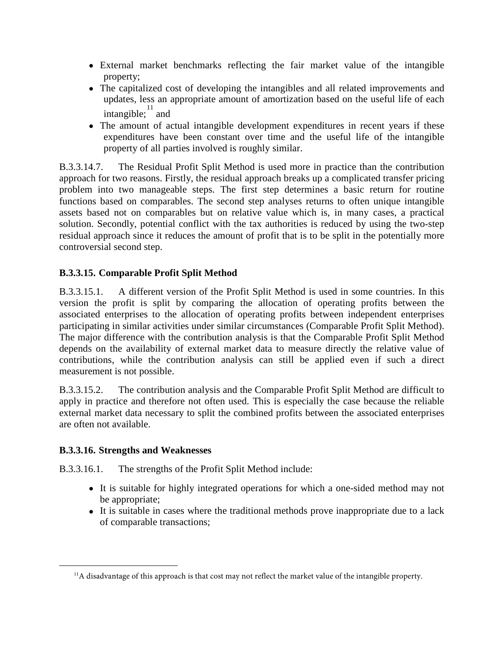- External market benchmarks reflecting the fair market value of the intangible property;
- The capitalized cost of developing the intangibles and all related improvements and updates, less an appropriate amount of amortization based on the useful life of each intangible;  $\frac{11}{11}$  $\frac{11}{11}$  $\frac{11}{11}$  and
- The amount of actual intangible development expenditures in recent years if these expenditures have been constant over time and the useful life of the intangible property of all parties involved is roughly similar.

B.3.3.14.7. The Residual Profit Split Method is used more in practice than the contribution approach for two reasons. Firstly, the residual approach breaks up a complicated transfer pricing problem into two manageable steps. The first step determines a basic return for routine functions based on comparables. The second step analyses returns to often unique intangible assets based not on comparables but on relative value which is, in many cases, a practical solution. Secondly, potential conflict with the tax authorities is reduced by using the two-step residual approach since it reduces the amount of profit that is to be split in the potentially more controversial second step.

# **B.3.3.15. Comparable Profit Split Method**

B.3.3.15.1. A different version of the Profit Split Method is used in some countries. In this version the profit is split by comparing the allocation of operating profits between the associated enterprises to the allocation of operating profits between independent enterprises participating in similar activities under similar circumstances (Comparable Profit Split Method). The major difference with the contribution analysis is that the Comparable Profit Split Method depends on the availability of external market data to measure directly the relative value of contributions, while the contribution analysis can still be applied even if such a direct measurement is not possible.

B.3.3.15.2. The contribution analysis and the Comparable Profit Split Method are difficult to apply in practice and therefore not often used. This is especially the case because the reliable external market data necessary to split the combined profits between the associated enterprises are often not available.

## **B.3.3.16. Strengths and Weaknesses**

<span id="page-51-0"></span> $\overline{a}$ 

B.3.3.16.1. The strengths of the Profit Split Method include:

- It is suitable for highly integrated operations for which a one-sided method may not be appropriate;
- It is suitable in cases where the traditional methods prove inappropriate due to a lack of comparable transactions;

 $<sup>11</sup>A$  disadvantage of this approach is that cost may not reflect the market value of the intangible property.</sup>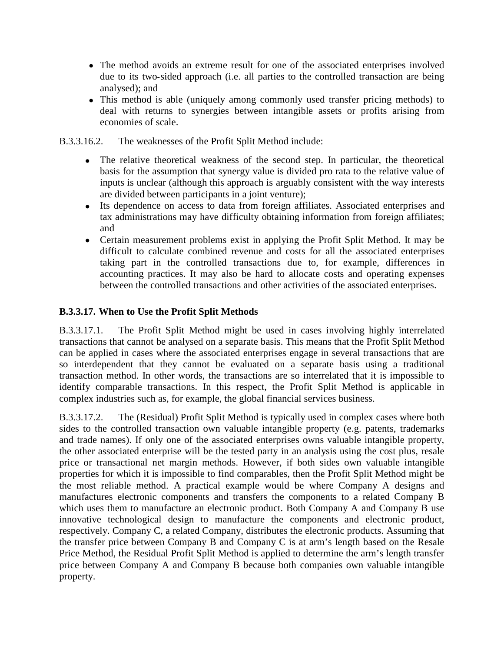- The method avoids an extreme result for one of the associated enterprises involved due to its two‐sided approach (i.e. all parties to the controlled transaction are being analysed); and
- This method is able (uniquely among commonly used transfer pricing methods) to deal with returns to synergies between intangible assets or profits arising from economies of scale.
- B.3.3.16.2. The weaknesses of the Profit Split Method include:
	- The relative theoretical weakness of the second step. In particular, the theoretical basis for the assumption that synergy value is divided pro rata to the relative value of inputs is unclear (although this approach is arguably consistent with the way interests are divided between participants in a joint venture);
	- Its dependence on access to data from foreign affiliates. Associated enterprises and tax administrations may have difficulty obtaining information from foreign affiliates; and
	- Certain measurement problems exist in applying the Profit Split Method. It may be difficult to calculate combined revenue and costs for all the associated enterprises taking part in the controlled transactions due to, for example, differences in accounting practices. It may also be hard to allocate costs and operating expenses between the controlled transactions and other activities of the associated enterprises.

### **B.3.3.17. When to Use the Profit Split Methods**

B.3.3.17.1. The Profit Split Method might be used in cases involving highly interrelated transactions that cannot be analysed on a separate basis. This means that the Profit Split Method can be applied in cases where the associated enterprises engage in several transactions that are so interdependent that they cannot be evaluated on a separate basis using a traditional transaction method. In other words, the transactions are so interrelated that it is impossible to identify comparable transactions. In this respect, the Profit Split Method is applicable in complex industries such as, for example, the global financial services business.

B.3.3.17.2. The (Residual) Profit Split Method is typically used in complex cases where both sides to the controlled transaction own valuable intangible property (e.g. patents, trademarks and trade names). If only one of the associated enterprises owns valuable intangible property, the other associated enterprise will be the tested party in an analysis using the cost plus, resale price or transactional net margin methods. However, if both sides own valuable intangible properties for which it is impossible to find comparables, then the Profit Split Method might be the most reliable method. A practical example would be where Company A designs and manufactures electronic components and transfers the components to a related Company B which uses them to manufacture an electronic product. Both Company A and Company B use innovative technological design to manufacture the components and electronic product, respectively. Company C, a related Company, distributes the electronic products. Assuming that the transfer price between Company B and Company C is at arm's length based on the Resale Price Method, the Residual Profit Split Method is applied to determine the arm's length transfer price between Company A and Company B because both companies own valuable intangible property.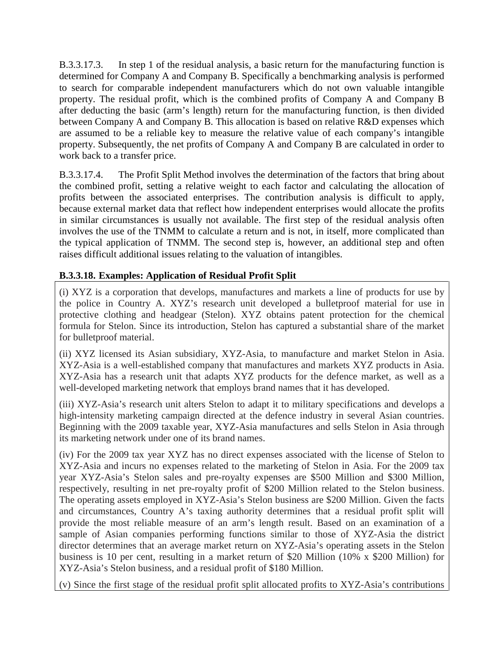B.3.3.17.3. In step 1 of the residual analysis, a basic return for the manufacturing function is determined for Company A and Company B. Specifically a benchmarking analysis is performed to search for comparable independent manufacturers which do not own valuable intangible property. The residual profit, which is the combined profits of Company A and Company B after deducting the basic (arm's length) return for the manufacturing function, is then divided between Company A and Company B. This allocation is based on relative R&D expenses which are assumed to be a reliable key to measure the relative value of each company's intangible property. Subsequently, the net profits of Company A and Company B are calculated in order to work back to a transfer price.

B.3.3.17.4. The Profit Split Method involves the determination of the factors that bring about the combined profit, setting a relative weight to each factor and calculating the allocation of profits between the associated enterprises. The contribution analysis is difficult to apply, because external market data that reflect how independent enterprises would allocate the profits in similar circumstances is usually not available. The first step of the residual analysis often involves the use of the TNMM to calculate a return and is not, in itself, more complicated than the typical application of TNMM. The second step is, however, an additional step and often raises difficult additional issues relating to the valuation of intangibles.

# **B.3.3.18. Examples: Application of Residual Profit Split**

(i) XYZ is a corporation that develops, manufactures and markets a line of products for use by the police in Country A. XYZ's research unit developed a bulletproof material for use in protective clothing and headgear (Stelon). XYZ obtains patent protection for the chemical formula for Stelon. Since its introduction, Stelon has captured a substantial share of the market for bulletproof material.

(ii) XYZ licensed its Asian subsidiary, XYZ-Asia, to manufacture and market Stelon in Asia. XYZ-Asia is a well-established company that manufactures and markets XYZ products in Asia. XYZ-Asia has a research unit that adapts XYZ products for the defence market, as well as a well-developed marketing network that employs brand names that it has developed.

(iii) XYZ-Asia's research unit alters Stelon to adapt it to military specifications and develops a high-intensity marketing campaign directed at the defence industry in several Asian countries. Beginning with the 2009 taxable year, XYZ-Asia manufactures and sells Stelon in Asia through its marketing network under one of its brand names.

(iv) For the 2009 tax year XYZ has no direct expenses associated with the license of Stelon to XYZ-Asia and incurs no expenses related to the marketing of Stelon in Asia. For the 2009 tax year XYZ-Asia's Stelon sales and pre-royalty expenses are \$500 Million and \$300 Million, respectively, resulting in net pre-royalty profit of \$200 Million related to the Stelon business. The operating assets employed in XYZ-Asia's Stelon business are \$200 Million. Given the facts and circumstances, Country A's taxing authority determines that a residual profit split will provide the most reliable measure of an arm's length result. Based on an examination of a sample of Asian companies performing functions similar to those of XYZ-Asia the district director determines that an average market return on XYZ-Asia's operating assets in the Stelon business is 10 per cent, resulting in a market return of \$20 Million (10% x \$200 Million) for XYZ-Asia's Stelon business, and a residual profit of \$180 Million.

(v) Since the first stage of the residual profit split allocated profits to XYZ-Asia's contributions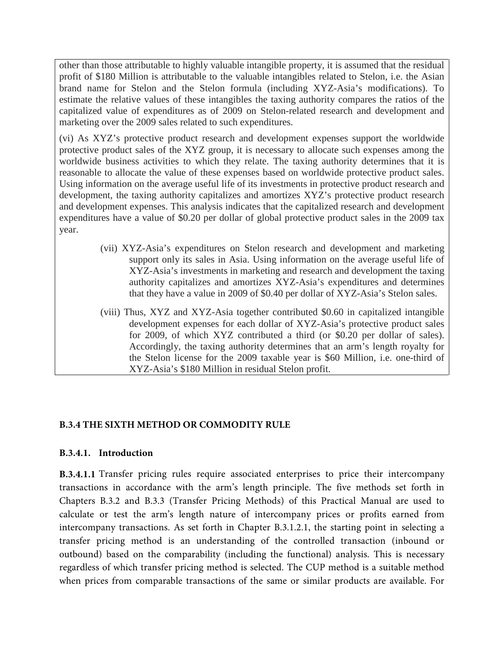other than those attributable to highly valuable intangible property, it is assumed that the residual profit of \$180 Million is attributable to the valuable intangibles related to Stelon, i.e. the Asian brand name for Stelon and the Stelon formula (including XYZ-Asia's modifications). To estimate the relative values of these intangibles the taxing authority compares the ratios of the capitalized value of expenditures as of 2009 on Stelon-related research and development and marketing over the 2009 sales related to such expenditures.

(vi) As XYZ's protective product research and development expenses support the worldwide protective product sales of the XYZ group, it is necessary to allocate such expenses among the worldwide business activities to which they relate. The taxing authority determines that it is reasonable to allocate the value of these expenses based on worldwide protective product sales. Using information on the average useful life of its investments in protective product research and development, the taxing authority capitalizes and amortizes XYZ's protective product research and development expenses. This analysis indicates that the capitalized research and development expenditures have a value of \$0.20 per dollar of global protective product sales in the 2009 tax year.

- (vii) XYZ-Asia's expenditures on Stelon research and development and marketing support only its sales in Asia. Using information on the average useful life of XYZ-Asia's investments in marketing and research and development the taxing authority capitalizes and amortizes XYZ-Asia's expenditures and determines that they have a value in 2009 of \$0.40 per dollar of XYZ-Asia's Stelon sales.
- (viii) Thus, XYZ and XYZ-Asia together contributed \$0.60 in capitalized intangible development expenses for each dollar of XYZ-Asia's protective product sales for 2009, of which XYZ contributed a third (or \$0.20 per dollar of sales). Accordingly, the taxing authority determines that an arm's length royalty for the Stelon license for the 2009 taxable year is \$60 Million, i.e. one-third of XYZ-Asia's \$180 Million in residual Stelon profit.

## **B.3.4 THE SIXTH METHOD OR COMMODITY RULE**

#### **B.3.4.1. Introduction**

**B.3.4.1.1** Transfer pricing rules require associated enterprises to price their intercompany transactions in accordance with the arm's length principle. The five methods set forth in Chapters B.3.2 and B.3.3 (Transfer Pricing Methods) of this Practical Manual are used to calculate or test the arm's length nature of intercompany prices or profits earned from intercompany transactions. As set forth in Chapter B.3.1.2.1, the starting point in selecting a transfer pricing method is an understanding of the controlled transaction (inbound or outbound) based on the comparability (including the functional) analysis. This is necessary regardless of which transfer pricing method is selected. The CUP method is a suitable method when prices from comparable transactions of the same or similar products are available. For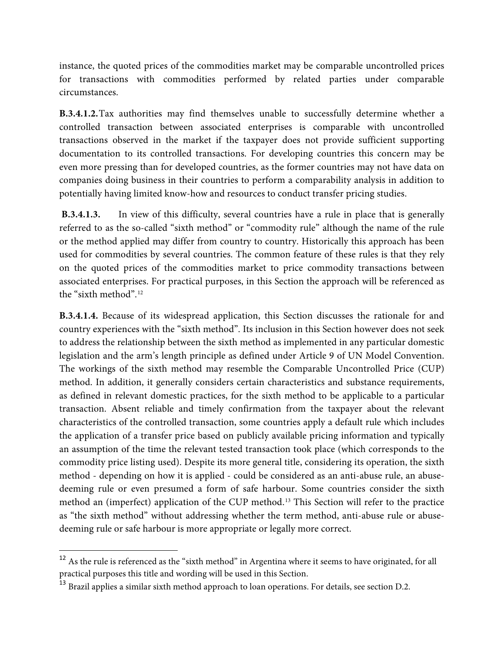instance, the quoted prices of the commodities market may be comparable uncontrolled prices for transactions with commodities performed by related parties under comparable circumstances.

**B.3.4.1.2.**Tax authorities may find themselves unable to successfully determine whether a controlled transaction between associated enterprises is comparable with uncontrolled transactions observed in the market if the taxpayer does not provide sufficient supporting documentation to its controlled transactions. For developing countries this concern may be even more pressing than for developed countries, as the former countries may not have data on companies doing business in their countries to perform a comparability analysis in addition to potentially having limited know-how and resources to conduct transfer pricing studies.

**B.3.4.1.3.** In view of this difficulty, several countries have a rule in place that is generally referred to as the so-called "sixth method" or "commodity rule" although the name of the rule or the method applied may differ from country to country. Historically this approach has been used for commodities by several countries. The common feature of these rules is that they rely on the quoted prices of the commodities market to price commodity transactions between associated enterprises. For practical purposes, in this Section the approach will be referenced as the "sixth method".[12](#page-55-0)

**B.3.4.1.4.** Because of its widespread application, this Section discusses the rationale for and country experiences with the "sixth method". Its inclusion in this Section however does not seek to address the relationship between the sixth method as implemented in any particular domestic legislation and the arm's length principle as defined under Article 9 of UN Model Convention. The workings of the sixth method may resemble the Comparable Uncontrolled Price (CUP) method. In addition, it generally considers certain characteristics and substance requirements, as defined in relevant domestic practices, for the sixth method to be applicable to a particular transaction. Absent reliable and timely confirmation from the taxpayer about the relevant characteristics of the controlled transaction, some countries apply a default rule which includes the application of a transfer price based on publicly available pricing information and typically an assumption of the time the relevant tested transaction took place (which corresponds to the commodity price listing used). Despite its more general title, considering its operation, the sixth method - depending on how it is applied - could be considered as an anti-abuse rule, an abusedeeming rule or even presumed a form of safe harbour. Some countries consider the sixth method an (imperfect) application of the CUP method.[13](#page-55-1) This Section will refer to the practice as "the sixth method" without addressing whether the term method, anti-abuse rule or abusedeeming rule or safe harbour is more appropriate or legally more correct.

<span id="page-55-0"></span> $^{12}$  As the rule is referenced as the "sixth method" in Argentina where it seems to have originated, for all practical purposes this title and wording will be used in this Section.

<span id="page-55-1"></span><sup>&</sup>lt;sup>13</sup> Brazil applies a similar sixth method approach to loan operations. For details, see section D.2.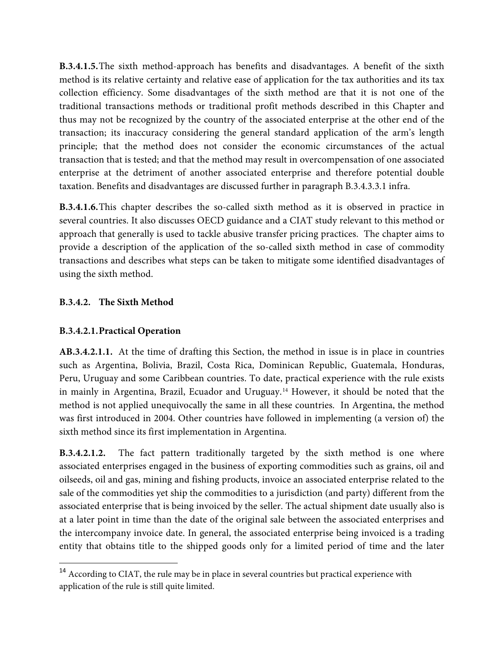**B.3.4.1.5.**The sixth method-approach has benefits and disadvantages. A benefit of the sixth method is its relative certainty and relative ease of application for the tax authorities and its tax collection efficiency. Some disadvantages of the sixth method are that it is not one of the traditional transactions methods or traditional profit methods described in this Chapter and thus may not be recognized by the country of the associated enterprise at the other end of the transaction; its inaccuracy considering the general standard application of the arm's length principle; that the method does not consider the economic circumstances of the actual transaction that is tested; and that the method may result in overcompensation of one associated enterprise at the detriment of another associated enterprise and therefore potential double taxation. Benefits and disadvantages are discussed further in paragraph B.3.4.3.3.1 infra.

**B.3.4.1.6.**This chapter describes the so-called sixth method as it is observed in practice in several countries. It also discusses OECD guidance and a CIAT study relevant to this method or approach that generally is used to tackle abusive transfer pricing practices. The chapter aims to provide a description of the application of the so-called sixth method in case of commodity transactions and describes what steps can be taken to mitigate some identified disadvantages of using the sixth method.

### **B.3.4.2. The Sixth Method**

#### **B.3.4.2.1.Practical Operation**

**AB.3.4.2.1.1.** At the time of drafting this Section, the method in issue is in place in countries such as Argentina, Bolivia, Brazil, Costa Rica, Dominican Republic, Guatemala, Honduras, Peru, Uruguay and some Caribbean countries. To date, practical experience with the rule exists in mainly in Argentina, Brazil, Ecuador and Uruguay.[14](#page-56-0) However, it should be noted that the method is not applied unequivocally the same in all these countries. In Argentina, the method was first introduced in 2004. Other countries have followed in implementing (a version of) the sixth method since its first implementation in Argentina.

**B.3.4.2.1.2.** The fact pattern traditionally targeted by the sixth method is one where associated enterprises engaged in the business of exporting commodities such as grains, oil and oilseeds, oil and gas, mining and fishing products, invoice an associated enterprise related to the sale of the commodities yet ship the commodities to a jurisdiction (and party) different from the associated enterprise that is being invoiced by the seller. The actual shipment date usually also is at a later point in time than the date of the original sale between the associated enterprises and the intercompany invoice date. In general, the associated enterprise being invoiced is a trading entity that obtains title to the shipped goods only for a limited period of time and the later

<span id="page-56-0"></span><sup>&</sup>lt;sup>14</sup> According to CIAT, the rule may be in place in several countries but practical experience with application of the rule is still quite limited.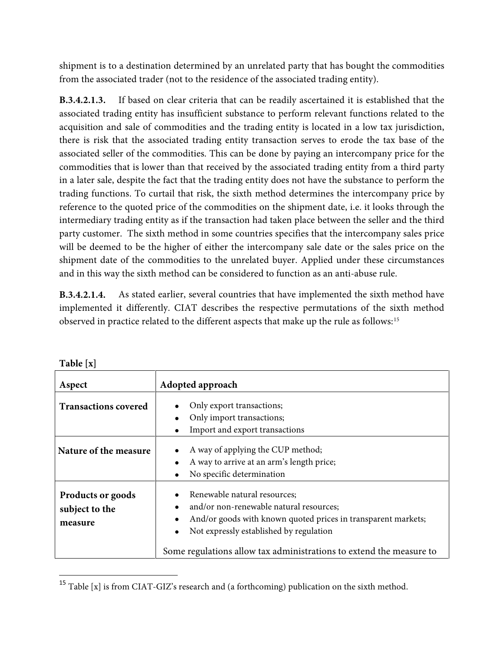shipment is to a destination determined by an unrelated party that has bought the commodities from the associated trader (not to the residence of the associated trading entity).

**B.3.4.2.1.3.** If based on clear criteria that can be readily ascertained it is established that the associated trading entity has insufficient substance to perform relevant functions related to the acquisition and sale of commodities and the trading entity is located in a low tax jurisdiction, there is risk that the associated trading entity transaction serves to erode the tax base of the associated seller of the commodities. This can be done by paying an intercompany price for the commodities that is lower than that received by the associated trading entity from a third party in a later sale, despite the fact that the trading entity does not have the substance to perform the trading functions. To curtail that risk, the sixth method determines the intercompany price by reference to the quoted price of the commodities on the shipment date, i.e. it looks through the intermediary trading entity as if the transaction had taken place between the seller and the third party customer. The sixth method in some countries specifies that the intercompany sales price will be deemed to be the higher of either the intercompany sale date or the sales price on the shipment date of the commodities to the unrelated buyer. Applied under these circumstances and in this way the sixth method can be considered to function as an anti-abuse rule.

**B.3.4.2.1.4.** As stated earlier, several countries that have implemented the sixth method have implemented it differently. CIAT describes the respective permutations of the sixth method observed in practice related to the different aspects that make up the rule as follows:[15](#page-57-0)

| 1401C <sub>1</sub> A <sub>1</sub>                     |                                                                                                                                                                                                  |
|-------------------------------------------------------|--------------------------------------------------------------------------------------------------------------------------------------------------------------------------------------------------|
| Aspect                                                | Adopted approach                                                                                                                                                                                 |
| <b>Transactions covered</b>                           | Only export transactions;<br>Only import transactions;<br>Import and export transactions                                                                                                         |
| Nature of the measure                                 | A way of applying the CUP method;<br>A way to arrive at an arm's length price;<br>No specific determination<br>$\bullet$                                                                         |
| <b>Products or goods</b><br>subject to the<br>measure | Renewable natural resources;<br>and/or non-renewable natural resources;<br>And/or goods with known quoted prices in transparent markets;<br>Not expressly established by regulation<br>$\bullet$ |
|                                                       | Some regulations allow tax administrations to extend the measure to                                                                                                                              |

| Table [x] |  |
|-----------|--|
|-----------|--|

<span id="page-57-0"></span> $^{15}$  Table [x] is from CIAT-GIZ's research and (a forthcoming) publication on the sixth method.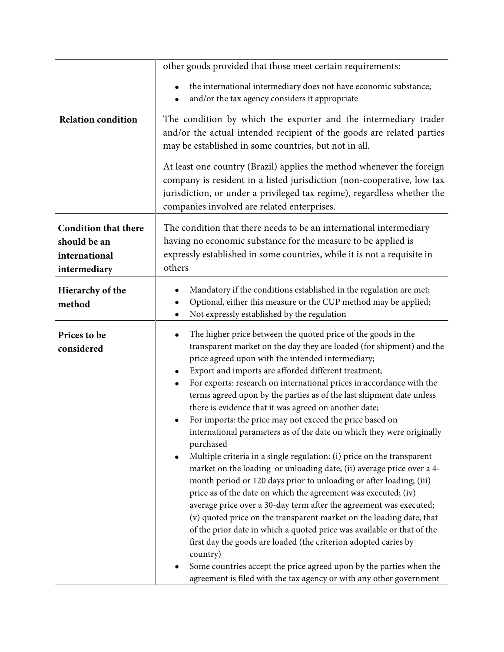|                             | other goods provided that those meet certain requirements:                                                                                                                                                                                                                                                                                                                                                                                                                                                                                                                                                                                                                                                                                                                                                                                                                                                                                                                                                                                                                                                                                                                                                                                                                                                                                                     |  |  |
|-----------------------------|----------------------------------------------------------------------------------------------------------------------------------------------------------------------------------------------------------------------------------------------------------------------------------------------------------------------------------------------------------------------------------------------------------------------------------------------------------------------------------------------------------------------------------------------------------------------------------------------------------------------------------------------------------------------------------------------------------------------------------------------------------------------------------------------------------------------------------------------------------------------------------------------------------------------------------------------------------------------------------------------------------------------------------------------------------------------------------------------------------------------------------------------------------------------------------------------------------------------------------------------------------------------------------------------------------------------------------------------------------------|--|--|
|                             | the international intermediary does not have economic substance;                                                                                                                                                                                                                                                                                                                                                                                                                                                                                                                                                                                                                                                                                                                                                                                                                                                                                                                                                                                                                                                                                                                                                                                                                                                                                               |  |  |
|                             | and/or the tax agency considers it appropriate                                                                                                                                                                                                                                                                                                                                                                                                                                                                                                                                                                                                                                                                                                                                                                                                                                                                                                                                                                                                                                                                                                                                                                                                                                                                                                                 |  |  |
| <b>Relation condition</b>   | The condition by which the exporter and the intermediary trader<br>and/or the actual intended recipient of the goods are related parties<br>may be established in some countries, but not in all.                                                                                                                                                                                                                                                                                                                                                                                                                                                                                                                                                                                                                                                                                                                                                                                                                                                                                                                                                                                                                                                                                                                                                              |  |  |
|                             | At least one country (Brazil) applies the method whenever the foreign<br>company is resident in a listed jurisdiction (non-cooperative, low tax<br>jurisdiction, or under a privileged tax regime), regardless whether the<br>companies involved are related enterprises.                                                                                                                                                                                                                                                                                                                                                                                                                                                                                                                                                                                                                                                                                                                                                                                                                                                                                                                                                                                                                                                                                      |  |  |
| <b>Condition that there</b> | The condition that there needs to be an international intermediary                                                                                                                                                                                                                                                                                                                                                                                                                                                                                                                                                                                                                                                                                                                                                                                                                                                                                                                                                                                                                                                                                                                                                                                                                                                                                             |  |  |
| should be an                | having no economic substance for the measure to be applied is                                                                                                                                                                                                                                                                                                                                                                                                                                                                                                                                                                                                                                                                                                                                                                                                                                                                                                                                                                                                                                                                                                                                                                                                                                                                                                  |  |  |
| international               | expressly established in some countries, while it is not a requisite in                                                                                                                                                                                                                                                                                                                                                                                                                                                                                                                                                                                                                                                                                                                                                                                                                                                                                                                                                                                                                                                                                                                                                                                                                                                                                        |  |  |
| intermediary                | others                                                                                                                                                                                                                                                                                                                                                                                                                                                                                                                                                                                                                                                                                                                                                                                                                                                                                                                                                                                                                                                                                                                                                                                                                                                                                                                                                         |  |  |
| Hierarchy of the<br>method  | Mandatory if the conditions established in the regulation are met;<br>Optional, either this measure or the CUP method may be applied;<br>Not expressly established by the regulation                                                                                                                                                                                                                                                                                                                                                                                                                                                                                                                                                                                                                                                                                                                                                                                                                                                                                                                                                                                                                                                                                                                                                                           |  |  |
| Prices to be<br>considered  | The higher price between the quoted price of the goods in the<br>transparent market on the day they are loaded (for shipment) and the<br>price agreed upon with the intended intermediary;<br>Export and imports are afforded different treatment;<br>For exports: research on international prices in accordance with the<br>terms agreed upon by the parties as of the last shipment date unless<br>there is evidence that it was agreed on another date;<br>For imports: the price may not exceed the price based on<br>international parameters as of the date on which they were originally<br>purchased<br>Multiple criteria in a single regulation: (i) price on the transparent<br>market on the loading or unloading date; (ii) average price over a 4-<br>month period or 120 days prior to unloading or after loading; (iii)<br>price as of the date on which the agreement was executed; (iv)<br>average price over a 30-day term after the agreement was executed;<br>(v) quoted price on the transparent market on the loading date, that<br>of the prior date in which a quoted price was available or that of the<br>first day the goods are loaded (the criterion adopted caries by<br>country)<br>Some countries accept the price agreed upon by the parties when the<br>agreement is filed with the tax agency or with any other government |  |  |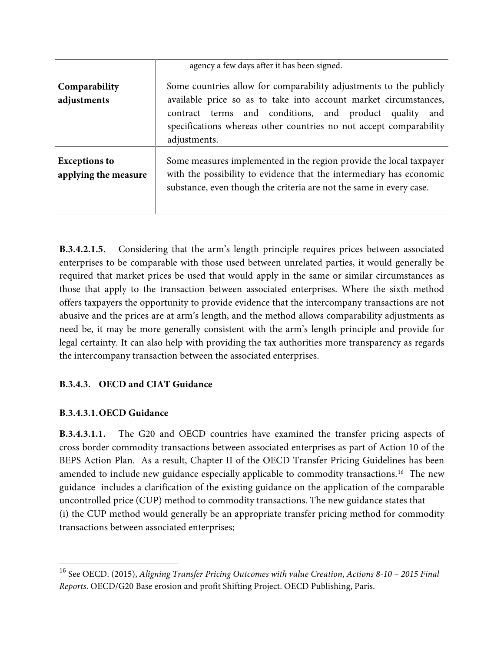|                                              | agency a few days after it has been signed.                                                                                                                                                                                                                                               |
|----------------------------------------------|-------------------------------------------------------------------------------------------------------------------------------------------------------------------------------------------------------------------------------------------------------------------------------------------|
| Comparability<br>adjustments                 | Some countries allow for comparability adjustments to the publicly<br>available price so as to take into account market circumstances,<br>contract terms and conditions, and product quality<br>and<br>specifications whereas other countries no not accept comparability<br>adjustments. |
| <b>Exceptions to</b><br>applying the measure | Some measures implemented in the region provide the local taxpayer<br>with the possibility to evidence that the intermediary has economic<br>substance, even though the criteria are not the same in every case.                                                                          |

**B.3.4.2.1.5.** Considering that the arm's length principle requires prices between associated enterprises to be comparable with those used between unrelated parties, it would generally be required that market prices be used that would apply in the same or similar circumstances as those that apply to the transaction between associated enterprises. Where the sixth method offers taxpayers the opportunity to provide evidence that the intercompany transactions are not abusive and the prices are at arm's length, and the method allows comparability adjustments as need be, it may be more generally consistent with the arm's length principle and provide for legal certainty. It can also help with providing the tax authorities more transparency as regards the intercompany transaction between the associated enterprises.

# **B.3.4.3. OECD and CIAT Guidance**

# **B.3.4.3.1.OECD Guidance**

**B.3.4.3.1.1.** The G20 and OECD countries have examined the transfer pricing aspects of cross border commodity transactions between associated enterprises as part of Action 10 of the BEPS Action Plan. As a result, Chapter II of the OECD Transfer Pricing Guidelines has been amended to include new guidance especially applicable to commodity transactions.[16](#page-59-0) The new guidance includes a clarification of the existing guidance on the application of the comparable uncontrolled price (CUP) method to commodity transactions. The new guidance states that (i) the CUP method would generally be an appropriate transfer pricing method for commodity transactions between associated enterprises;

<span id="page-59-0"></span><sup>16</sup> See OECD. (2015), *Aligning Transfer Pricing Outcomes with value Creation*, *Actions 8-10 – 2015 Final Reports*. OECD/G20 Base erosion and profit Shifting Project. OECD Publishing, Paris.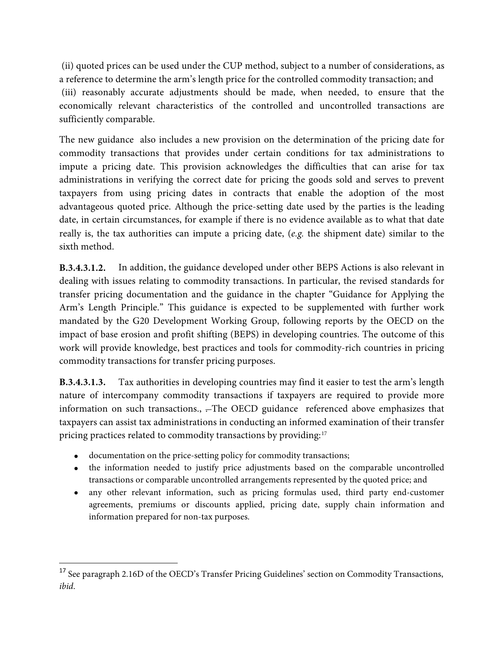(ii) quoted prices can be used under the CUP method, subject to a number of considerations, as a reference to determine the arm's length price for the controlled commodity transaction; and (iii) reasonably accurate adjustments should be made, when needed, to ensure that the economically relevant characteristics of the controlled and uncontrolled transactions are sufficiently comparable.

The new guidance also includes a new provision on the determination of the pricing date for commodity transactions that provides under certain conditions for tax administrations to impute a pricing date. This provision acknowledges the difficulties that can arise for tax administrations in verifying the correct date for pricing the goods sold and serves to prevent taxpayers from using pricing dates in contracts that enable the adoption of the most advantageous quoted price. Although the price-setting date used by the parties is the leading date, in certain circumstances, for example if there is no evidence available as to what that date really is, the tax authorities can impute a pricing date, (*e.g.* the shipment date) similar to the sixth method.

**B.3.4.3.1.2.** In addition, the guidance developed under other BEPS Actions is also relevant in dealing with issues relating to commodity transactions. In particular, the revised standards for transfer pricing documentation and the guidance in the chapter "Guidance for Applying the Arm's Length Principle." This guidance is expected to be supplemented with further work mandated by the G20 Development Working Group, following reports by the OECD on the impact of base erosion and profit shifting (BEPS) in developing countries. The outcome of this work will provide knowledge, best practices and tools for commodity-rich countries in pricing commodity transactions for transfer pricing purposes.

**B.3.4.3.1.3.** Tax authorities in developing countries may find it easier to test the arm's length nature of intercompany commodity transactions if taxpayers are required to provide more information on such transactions., .-The OECD guidance referenced above emphasizes that taxpayers can assist tax administrations in conducting an informed examination of their transfer pricing practices related to commodity transactions by providing:<sup>[17](#page-60-0)</sup>

- documentation on the price-setting policy for commodity transactions;
- the information needed to justify price adjustments based on the comparable uncontrolled transactions or comparable uncontrolled arrangements represented by the quoted price; and
- any other relevant information, such as pricing formulas used, third party end-customer agreements, premiums or discounts applied, pricing date, supply chain information and information prepared for non-tax purposes.

<span id="page-60-0"></span> $^{17}$  See paragraph 2.16D of the OECD's Transfer Pricing Guidelines' section on Commodity Transactions, *ibid*.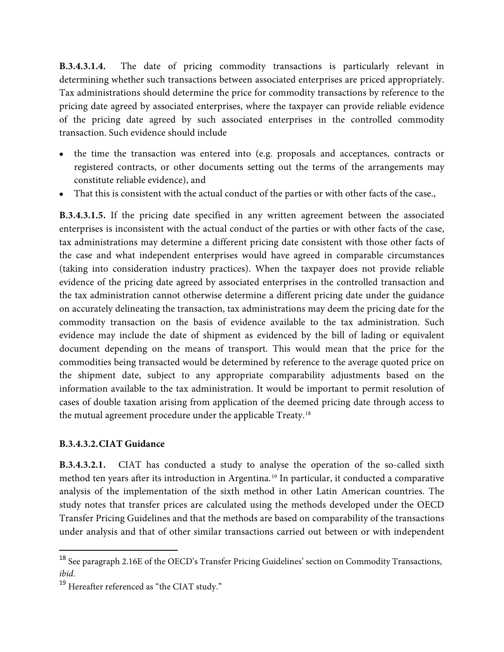**B.3.4.3.1.4.** The date of pricing commodity transactions is particularly relevant in determining whether such transactions between associated enterprises are priced appropriately. Tax administrations should determine the price for commodity transactions by reference to the pricing date agreed by associated enterprises, where the taxpayer can provide reliable evidence of the pricing date agreed by such associated enterprises in the controlled commodity transaction. Such evidence should include

- the time the transaction was entered into (e.g. proposals and acceptances, contracts or registered contracts, or other documents setting out the terms of the arrangements may constitute reliable evidence), and
- That this is consistent with the actual conduct of the parties or with other facts of the case.,

**B.3.4.3.1.5.** If the pricing date specified in any written agreement between the associated enterprises is inconsistent with the actual conduct of the parties or with other facts of the case, tax administrations may determine a different pricing date consistent with those other facts of the case and what independent enterprises would have agreed in comparable circumstances (taking into consideration industry practices). When the taxpayer does not provide reliable evidence of the pricing date agreed by associated enterprises in the controlled transaction and the tax administration cannot otherwise determine a different pricing date under the guidance on accurately delineating the transaction, tax administrations may deem the pricing date for the commodity transaction on the basis of evidence available to the tax administration. Such evidence may include the date of shipment as evidenced by the bill of lading or equivalent document depending on the means of transport. This would mean that the price for the commodities being transacted would be determined by reference to the average quoted price on the shipment date, subject to any appropriate comparability adjustments based on the information available to the tax administration. It would be important to permit resolution of cases of double taxation arising from application of the deemed pricing date through access to the mutual agreement procedure under the applicable Treaty.[18](#page-61-0)

#### **B.3.4.3.2.CIAT Guidance**

**B.3.4.3.2.1.** CIAT has conducted a study to analyse the operation of the so-called sixth method ten years after its introduction in Argentina.<sup>[19](#page-61-1)</sup> In particular, it conducted a comparative analysis of the implementation of the sixth method in other Latin American countries. The study notes that transfer prices are calculated using the methods developed under the OECD Transfer Pricing Guidelines and that the methods are based on comparability of the transactions under analysis and that of other similar transactions carried out between or with independent

<span id="page-61-0"></span><sup>18</sup> See paragraph 2.16E of the OECD's Transfer Pricing Guidelines' section on Commodity Transactions, *ibid*.

<span id="page-61-1"></span><sup>&</sup>lt;sup>19</sup> Hereafter referenced as "the CIAT study."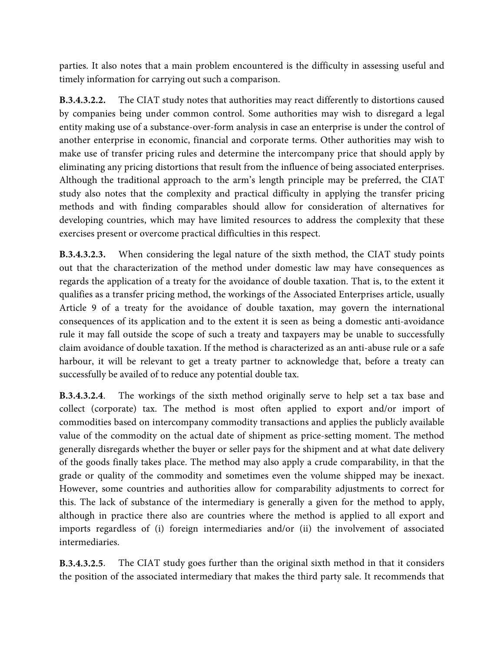parties. It also notes that a main problem encountered is the difficulty in assessing useful and timely information for carrying out such a comparison.

**B.3.4.3.2.2.** The CIAT study notes that authorities may react differently to distortions caused by companies being under common control. Some authorities may wish to disregard a legal entity making use of a substance-over-form analysis in case an enterprise is under the control of another enterprise in economic, financial and corporate terms. Other authorities may wish to make use of transfer pricing rules and determine the intercompany price that should apply by eliminating any pricing distortions that result from the influence of being associated enterprises. Although the traditional approach to the arm's length principle may be preferred, the CIAT study also notes that the complexity and practical difficulty in applying the transfer pricing methods and with finding comparables should allow for consideration of alternatives for developing countries, which may have limited resources to address the complexity that these exercises present or overcome practical difficulties in this respect.

**B.3.4.3.2.3.** When considering the legal nature of the sixth method, the CIAT study points out that the characterization of the method under domestic law may have consequences as regards the application of a treaty for the avoidance of double taxation. That is, to the extent it qualifies as a transfer pricing method, the workings of the Associated Enterprises article, usually Article 9 of a treaty for the avoidance of double taxation, may govern the international consequences of its application and to the extent it is seen as being a domestic anti-avoidance rule it may fall outside the scope of such a treaty and taxpayers may be unable to successfully claim avoidance of double taxation. If the method is characterized as an anti-abuse rule or a safe harbour, it will be relevant to get a treaty partner to acknowledge that, before a treaty can successfully be availed of to reduce any potential double tax.

**B.3.4.3.2.4**. The workings of the sixth method originally serve to help set a tax base and collect (corporate) tax. The method is most often applied to export and/or import of commodities based on intercompany commodity transactions and applies the publicly available value of the commodity on the actual date of shipment as price-setting moment. The method generally disregards whether the buyer or seller pays for the shipment and at what date delivery of the goods finally takes place. The method may also apply a crude comparability, in that the grade or quality of the commodity and sometimes even the volume shipped may be inexact. However, some countries and authorities allow for comparability adjustments to correct for this. The lack of substance of the intermediary is generally a given for the method to apply, although in practice there also are countries where the method is applied to all export and imports regardless of (i) foreign intermediaries and/or (ii) the involvement of associated intermediaries.

**B.3.4.3.2.5**. The CIAT study goes further than the original sixth method in that it considers the position of the associated intermediary that makes the third party sale. It recommends that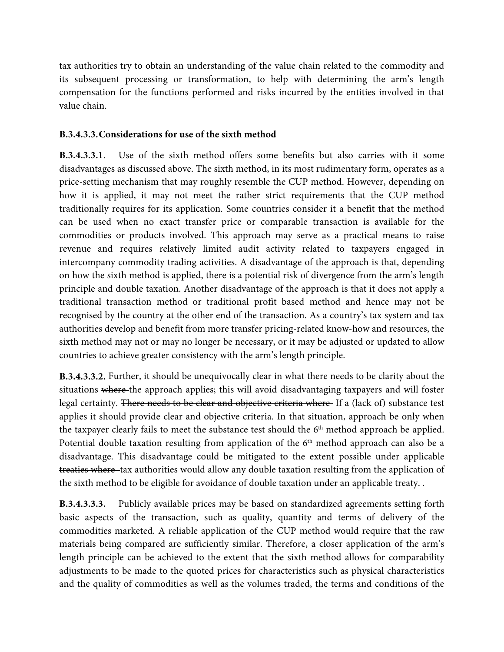tax authorities try to obtain an understanding of the value chain related to the commodity and its subsequent processing or transformation, to help with determining the arm's length compensation for the functions performed and risks incurred by the entities involved in that value chain.

#### **B.3.4.3.3.Considerations for use of the sixth method**

**B.3.4.3.3.1**. Use of the sixth method offers some benefits but also carries with it some disadvantages as discussed above. The sixth method, in its most rudimentary form, operates as a price-setting mechanism that may roughly resemble the CUP method. However, depending on how it is applied, it may not meet the rather strict requirements that the CUP method traditionally requires for its application. Some countries consider it a benefit that the method can be used when no exact transfer price or comparable transaction is available for the commodities or products involved. This approach may serve as a practical means to raise revenue and requires relatively limited audit activity related to taxpayers engaged in intercompany commodity trading activities. A disadvantage of the approach is that, depending on how the sixth method is applied, there is a potential risk of divergence from the arm's length principle and double taxation. Another disadvantage of the approach is that it does not apply a traditional transaction method or traditional profit based method and hence may not be recognised by the country at the other end of the transaction. As a country's tax system and tax authorities develop and benefit from more transfer pricing-related know-how and resources, the sixth method may not or may no longer be necessary, or it may be adjusted or updated to allow countries to achieve greater consistency with the arm's length principle.

**B.3.4.3.3.2.** Further, it should be unequivocally clear in what there needs to be clarity about the situations where the approach applies; this will avoid disadvantaging taxpayers and will foster legal certainty. There needs to be clear and objective criteria where If a (lack of) substance test applies it should provide clear and objective criteria. In that situation, approach be only when the taxpayer clearly fails to meet the substance test should the  $6<sup>th</sup>$  method approach be applied. Potential double taxation resulting from application of the  $6<sup>th</sup>$  method approach can also be a disadvantage. This disadvantage could be mitigated to the extent possible under applicable treaties where tax authorities would allow any double taxation resulting from the application of the sixth method to be eligible for avoidance of double taxation under an applicable treaty. .

**B.3.4.3.3.3.** Publicly available prices may be based on standardized agreements setting forth basic aspects of the transaction, such as quality, quantity and terms of delivery of the commodities marketed. A reliable application of the CUP method would require that the raw materials being compared are sufficiently similar. Therefore, a closer application of the arm's length principle can be achieved to the extent that the sixth method allows for comparability adjustments to be made to the quoted prices for characteristics such as physical characteristics and the quality of commodities as well as the volumes traded, the terms and conditions of the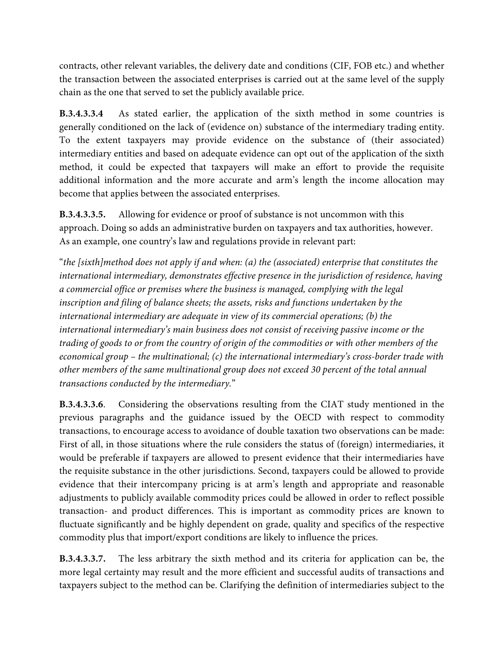contracts, other relevant variables, the delivery date and conditions (CIF, FOB etc.) and whether the transaction between the associated enterprises is carried out at the same level of the supply chain as the one that served to set the publicly available price.

**B.3.4.3.3.4** As stated earlier, the application of the sixth method in some countries is generally conditioned on the lack of (evidence on) substance of the intermediary trading entity. To the extent taxpayers may provide evidence on the substance of (their associated) intermediary entities and based on adequate evidence can opt out of the application of the sixth method, it could be expected that taxpayers will make an effort to provide the requisite additional information and the more accurate and arm's length the income allocation may become that applies between the associated enterprises.

**B.3.4.3.3.5.** Allowing for evidence or proof of substance is not uncommon with this approach. Doing so adds an administrative burden on taxpayers and tax authorities, however. As an example, one country's law and regulations provide in relevant part:

"*the [sixth]method does not apply if and when: (a) the (associated) enterprise that constitutes the international intermediary, demonstrates effective presence in the jurisdiction of residence, having a commercial office or premises where the business is managed, complying with the legal inscription and filing of balance sheets; the assets, risks and functions undertaken by the international intermediary are adequate in view of its commercial operations; (b) the international intermediary's main business does not consist of receiving passive income or the trading of goods to or from the country of origin of the commodities or with other members of the economical group – the multinational; (c) the international intermediary's cross-border trade with other members of the same multinational group does not exceed 30 percent of the total annual transactions conducted by the intermediary.*"

**B.3.4.3.3.6**. Considering the observations resulting from the CIAT study mentioned in the previous paragraphs and the guidance issued by the OECD with respect to commodity transactions, to encourage access to avoidance of double taxation two observations can be made: First of all, in those situations where the rule considers the status of (foreign) intermediaries, it would be preferable if taxpayers are allowed to present evidence that their intermediaries have the requisite substance in the other jurisdictions. Second, taxpayers could be allowed to provide evidence that their intercompany pricing is at arm's length and appropriate and reasonable adjustments to publicly available commodity prices could be allowed in order to reflect possible transaction- and product differences. This is important as commodity prices are known to fluctuate significantly and be highly dependent on grade, quality and specifics of the respective commodity plus that import/export conditions are likely to influence the prices.

**B.3.4.3.3.7.** The less arbitrary the sixth method and its criteria for application can be, the more legal certainty may result and the more efficient and successful audits of transactions and taxpayers subject to the method can be. Clarifying the definition of intermediaries subject to the